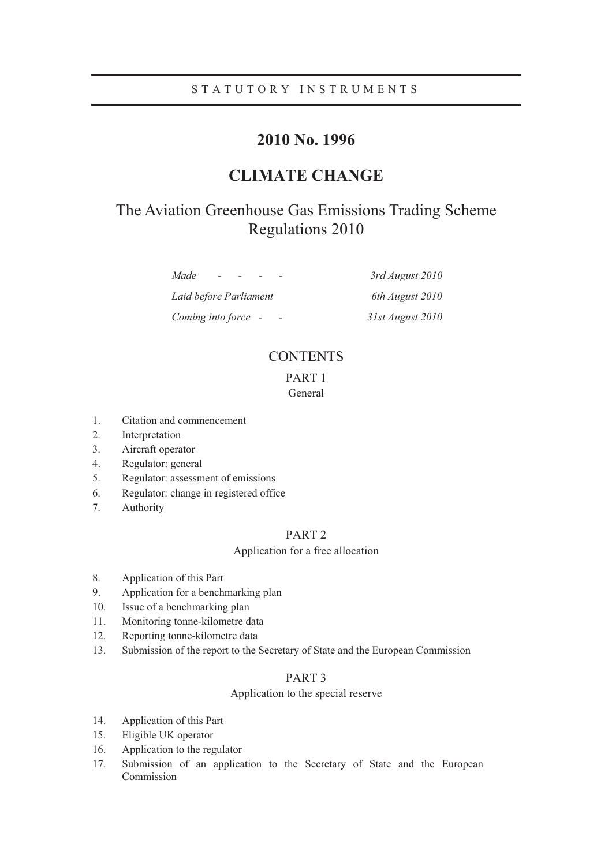# STATUTORY INSTRUMENTS

# **2010 No. 1996**

# **CLIMATE CHANGE**

# The Aviation Greenhouse Gas Emissions Trading Scheme Regulations 2010

*Made - - - - 3rd August 2010 Laid before Parliament 6th August 2010 Coming into force - - 31st August 2010* 

# **CONTENTS**

## PART 1 General

- 1. Citation and commencement
- 2. Interpretation
- 3. Aircraft operator
- 4. Regulator: general
- 5. Regulator: assessment of emissions
- 6. Regulator: change in registered office
- 7. Authority

## PART 2

## Application for a free allocation

- 8. Application of this Part
- 9. Application for a benchmarking plan
- 10. Issue of a benchmarking plan
- 11. Monitoring tonne-kilometre data
- 12. Reporting tonne-kilometre data
- 13. Submission of the report to the Secretary of State and the European Commission

## PART 3

## Application to the special reserve

- 14. Application of this Part
- 15. Eligible UK operator
- 16. Application to the regulator
- 17. Submission of an application to the Secretary of State and the European Commission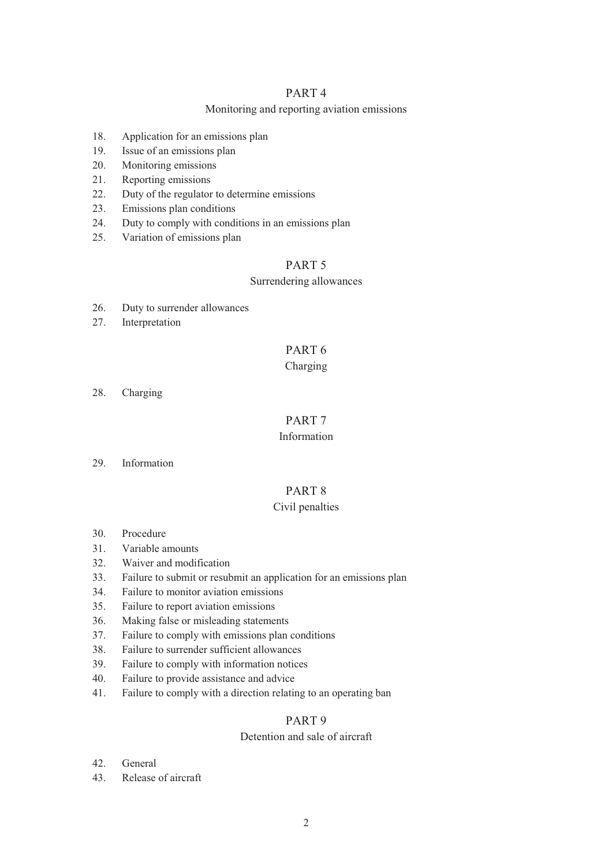## PART 4

## Monitoring and reporting aviation emissions

- 18. Application for an emissions plan
- 19. Issue of an emissions plan
- 20. Monitoring emissions
- 21. Reporting emissions
- 22. Duty of the regulator to determine emissions
- 23. Emissions plan conditions
- 24. Duty to comply with conditions in an emissions plan
- 25. Variation of emissions plan

# PART 5

## Surrendering allowances

- 26. Duty to surrender allowances
- 27. Interpretation

# PART 6

## Charging

28. Charging

# PART 7

## Information

29. Information

# PART 8

## Civil penalties

- 30. Procedure
- 31. Variable amounts
- 32. Waiver and modification
- 33. Failure to submit or resubmit an application for an emissions plan
- 34. Failure to monitor aviation emissions
- 35. Failure to report aviation emissions
- 36. Making false or misleading statements
- 37. Failure to comply with emissions plan conditions
- 38. Failure to surrender sufficient allowances
- 39. Failure to comply with information notices
- 40. Failure to provide assistance and advice
- 41. Failure to comply with a direction relating to an operating ban

## PART 9

## Detention and sale of aircraft

- 42. General
- 43. Release of aircraft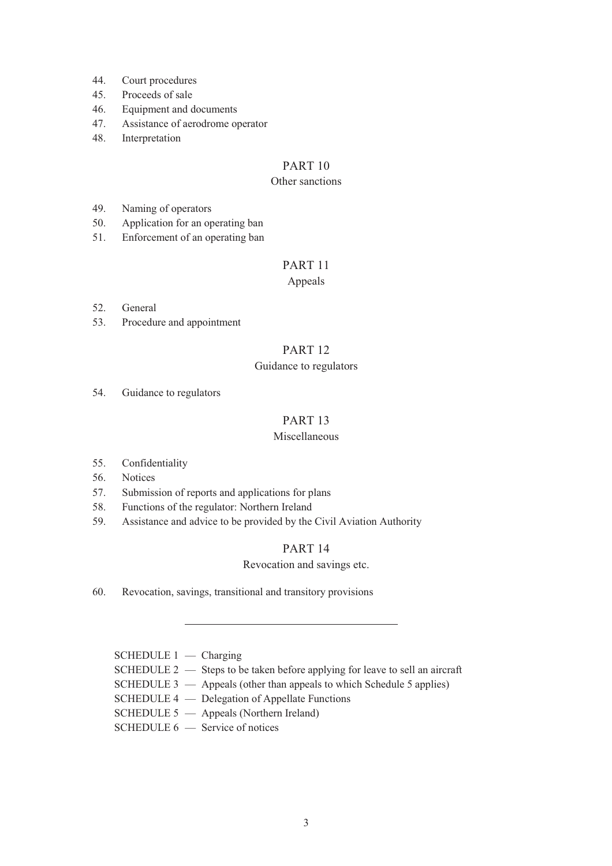- 44. Court procedures
- 45. Proceeds of sale
- 46. Equipment and documents
- 47. Assistance of aerodrome operator
- 48. Interpretation

# PART 10

## Other sanctions

- 49. Naming of operators
- 50. Application for an operating ban
- 51. Enforcement of an operating ban

# PART 11

## Appeals

- 52. General
- 53. Procedure and appointment

# PART 12

## Guidance to regulators

54. Guidance to regulators

# PART 13

## Miscellaneous

- 55. Confidentiality
- 56. Notices
- 57. Submission of reports and applications for plans
- 58. Functions of the regulator: Northern Ireland
- 59. Assistance and advice to be provided by the Civil Aviation Authority

## PART 14

## Revocation and savings etc.

60. Revocation, savings, transitional and transitory provisions

## $S$ CHEDULE  $1$  — Charging

- SCHEDULE 2 Steps to be taken before applying for leave to sell an aircraft
- SCHEDULE 3 Appeals (other than appeals to which Schedule 5 applies)
- SCHEDULE 4 Delegation of Appellate Functions
- SCHEDULE 5 Appeals (Northern Ireland)
- SCHEDULE 6 Service of notices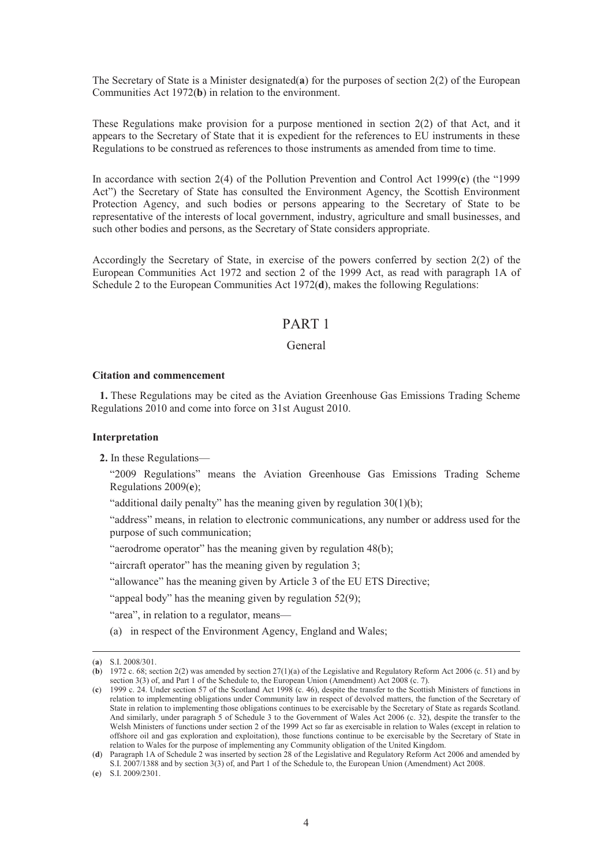The Secretary of State is a Minister designated(**a**) for the purposes of section 2(2) of the European Communities Act 1972(**b**) in relation to the environment.

These Regulations make provision for a purpose mentioned in section 2(2) of that Act, and it appears to the Secretary of State that it is expedient for the references to EU instruments in these Regulations to be construed as references to those instruments as amended from time to time.

In accordance with section 2(4) of the Pollution Prevention and Control Act 1999(**c**) (the "1999 Act") the Secretary of State has consulted the Environment Agency, the Scottish Environment Protection Agency, and such bodies or persons appearing to the Secretary of State to be representative of the interests of local government, industry, agriculture and small businesses, and such other bodies and persons, as the Secretary of State considers appropriate.

Accordingly the Secretary of State, in exercise of the powers conferred by section 2(2) of the European Communities Act 1972 and section 2 of the 1999 Act, as read with paragraph 1A of Schedule 2 to the European Communities Act 1972(**d**), makes the following Regulations:

# PART 1

## General

### **Citation and commencement**

**1.** These Regulations may be cited as the Aviation Greenhouse Gas Emissions Trading Scheme Regulations 2010 and come into force on 31st August 2010.

#### **Interpretation**

**2.** In these Regulations—

"2009 Regulations" means the Aviation Greenhouse Gas Emissions Trading Scheme Regulations 2009(**e**);

"additional daily penalty" has the meaning given by regulation 30(1)(b);

"address" means, in relation to electronic communications, any number or address used for the purpose of such communication;

"aerodrome operator" has the meaning given by regulation 48(b);

"aircraft operator" has the meaning given by regulation 3;

"allowance" has the meaning given by Article 3 of the EU ETS Directive;

"appeal body" has the meaning given by regulation 52(9);

"area", in relation to a regulator, means—

(a) in respect of the Environment Agency, England and Wales;

 <sup>(</sup>**a**) S.I. 2008/301.

<sup>(</sup>**b**) 1972 c. 68; section 2(2) was amended by section 27(1)(a) of the Legislative and Regulatory Reform Act 2006 (c. 51) and by section 3(3) of, and Part 1 of the Schedule to, the European Union (Amendment) Act 2008 (c. 7).

<sup>(</sup>**c**) 1999 c. 24. Under section 57 of the Scotland Act 1998 (c. 46), despite the transfer to the Scottish Ministers of functions in relation to implementing obligations under Community law in respect of devolved matters, the function of the Secretary of State in relation to implementing those obligations continues to be exercisable by the Secretary of State as regards Scotland. And similarly, under paragraph 5 of Schedule 3 to the Government of Wales Act 2006 (c. 32), despite the transfer to the Welsh Ministers of functions under section 2 of the 1999 Act so far as exercisable in relation to Wales (except in relation to offshore oil and gas exploration and exploitation), those functions continue to be exercisable by the Secretary of State in relation to Wales for the purpose of implementing any Community obligation of the United Kingdom.

<sup>(</sup>**d**) Paragraph 1A of Schedule 2 was inserted by section 28 of the Legislative and Regulatory Reform Act 2006 and amended by S.I. 2007/1388 and by section 3(3) of, and Part 1 of the Schedule to, the European Union (Amendment) Act 2008.

<sup>(</sup>**e**) S.I. 2009/2301.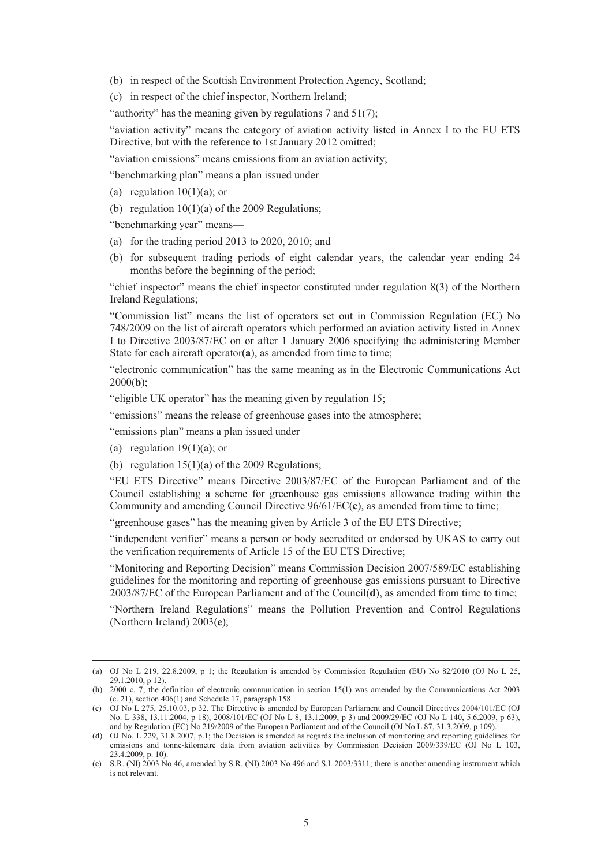- (b) in respect of the Scottish Environment Protection Agency, Scotland;
- (c) in respect of the chief inspector, Northern Ireland;

"authority" has the meaning given by regulations 7 and 51(7);

"aviation activity" means the category of aviation activity listed in Annex I to the EU ETS Directive, but with the reference to 1st January 2012 omitted;

"aviation emissions" means emissions from an aviation activity;

"benchmarking plan" means a plan issued under—

- (a) regulation  $10(1)(a)$ ; or
- (b) regulation  $10(1)(a)$  of the 2009 Regulations;

"benchmarking year" means—

- (a) for the trading period 2013 to 2020, 2010; and
- (b) for subsequent trading periods of eight calendar years, the calendar year ending 24 months before the beginning of the period;

"chief inspector" means the chief inspector constituted under regulation 8(3) of the Northern Ireland Regulations;

"Commission list" means the list of operators set out in Commission Regulation (EC) No 748/2009 on the list of aircraft operators which performed an aviation activity listed in Annex I to Directive 2003/87/EC on or after 1 January 2006 specifying the administering Member State for each aircraft operator(**a**), as amended from time to time;

"electronic communication" has the same meaning as in the Electronic Communications Act 2000(**b**);

"eligible UK operator" has the meaning given by regulation 15;

"emissions" means the release of greenhouse gases into the atmosphere;

"emissions plan" means a plan issued under—

(a) regulation  $19(1)(a)$ ; or

(b) regulation  $15(1)(a)$  of the 2009 Regulations;

"EU ETS Directive" means Directive 2003/87/EC of the European Parliament and of the Council establishing a scheme for greenhouse gas emissions allowance trading within the Community and amending Council Directive 96/61/EC(**c**), as amended from time to time;

"greenhouse gases" has the meaning given by Article 3 of the EU ETS Directive;

"independent verifier" means a person or body accredited or endorsed by UKAS to carry out the verification requirements of Article 15 of the EU ETS Directive;

"Monitoring and Reporting Decision" means Commission Decision 2007/589/EC establishing guidelines for the monitoring and reporting of greenhouse gas emissions pursuant to Directive 2003/87/EC of the European Parliament and of the Council(**d**), as amended from time to time;

"Northern Ireland Regulations" means the Pollution Prevention and Control Regulations (Northern Ireland) 2003(**e**);

 <sup>(</sup>**a**) OJ No L 219, 22.8.2009, p 1; the Regulation is amended by Commission Regulation (EU) No 82/2010 (OJ No L 25, 29.1.2010, p 12).

<sup>(</sup>**b**) 2000 c. 7; the definition of electronic communication in section 15(1) was amended by the Communications Act 2003 (c. 21), section 406(1) and Schedule 17, paragraph 158.

<sup>(</sup>**c**) OJ No L 275, 25.10.03, p 32. The Directive is amended by European Parliament and Council Directives 2004/101/EC (OJ No. L 338, 13.11.2004, p 18), 2008/101/EC (OJ No L 8, 13.1.2009, p 3) and 2009/29/EC (OJ No L 140, 5.6.2009, p 63), and by Regulation (EC) No 219/2009 of the European Parliament and of the Council (OJ No L 87, 31.3.2009, p 109).

<sup>(</sup>**d**) OJ No. L 229, 31.8.2007, p.1; the Decision is amended as regards the inclusion of monitoring and reporting guidelines for emissions and tonne-kilometre data from aviation activities by Commission Decision 2009/339/EC (OJ No L 103,  $23.4.2009$  n 10).

<sup>(</sup>**e**) S.R. (NI) 2003 No 46, amended by S.R. (NI) 2003 No 496 and S.I. 2003/3311; there is another amending instrument which is not relevant.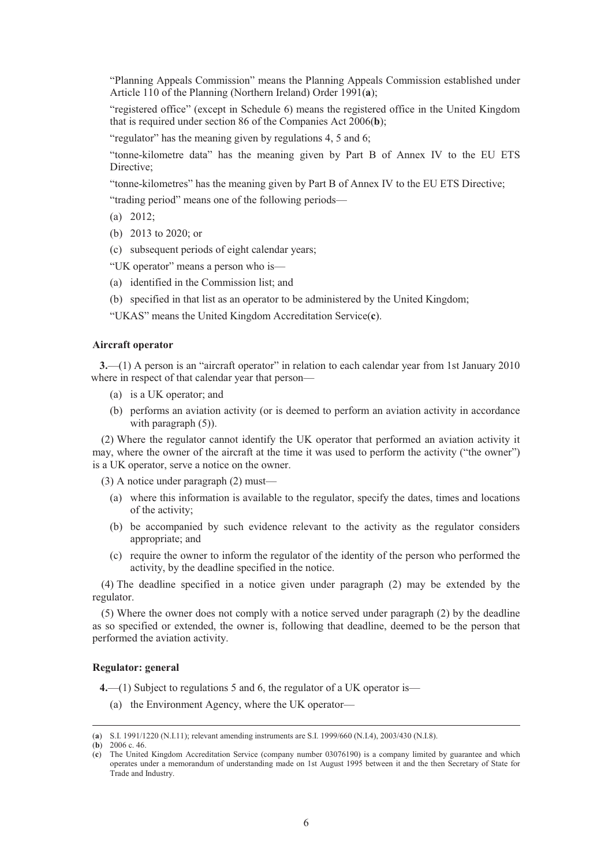"Planning Appeals Commission" means the Planning Appeals Commission established under Article 110 of the Planning (Northern Ireland) Order 1991(**a**);

"registered office" (except in Schedule 6) means the registered office in the United Kingdom that is required under section 86 of the Companies Act 2006(**b**);

"regulator" has the meaning given by regulations 4, 5 and 6;

"tonne-kilometre data" has the meaning given by Part B of Annex IV to the EU ETS Directive;

"tonne-kilometres" has the meaning given by Part B of Annex IV to the EU ETS Directive;

"trading period" means one of the following periods—

- (a) 2012;
- (b) 2013 to 2020; or
- (c) subsequent periods of eight calendar years;
- "UK operator" means a person who is—
- (a) identified in the Commission list; and
- (b) specified in that list as an operator to be administered by the United Kingdom;

"UKAS" means the United Kingdom Accreditation Service(**c**).

#### **Aircraft operator**

**3.**—(1) A person is an "aircraft operator" in relation to each calendar year from 1st January 2010 where in respect of that calendar year that person—

- (a) is a UK operator; and
- (b) performs an aviation activity (or is deemed to perform an aviation activity in accordance with paragraph  $(5)$ ).

(2) Where the regulator cannot identify the UK operator that performed an aviation activity it may, where the owner of the aircraft at the time it was used to perform the activity ("the owner") is a UK operator, serve a notice on the owner.

(3) A notice under paragraph (2) must—

- (a) where this information is available to the regulator, specify the dates, times and locations of the activity;
- (b) be accompanied by such evidence relevant to the activity as the regulator considers appropriate; and
- (c) require the owner to inform the regulator of the identity of the person who performed the activity, by the deadline specified in the notice.

(4) The deadline specified in a notice given under paragraph (2) may be extended by the regulator.

(5) Where the owner does not comply with a notice served under paragraph (2) by the deadline as so specified or extended, the owner is, following that deadline, deemed to be the person that performed the aviation activity.

## **Regulator: general**

**4.**—(1) Subject to regulations 5 and 6, the regulator of a UK operator is—

(a) the Environment Agency, where the UK operator—

 <sup>(</sup>**a**) S.I. 1991/1220 (N.I.11); relevant amending instruments are S.I. 1999/660 (N.I.4), 2003/430 (N.I.8).

<sup>(</sup>**b**) 2006 c. 46.

<sup>(</sup>**c**) The United Kingdom Accreditation Service (company number 03076190) is a company limited by guarantee and which operates under a memorandum of understanding made on 1st August 1995 between it and the then Secretary of State for Trade and Industry.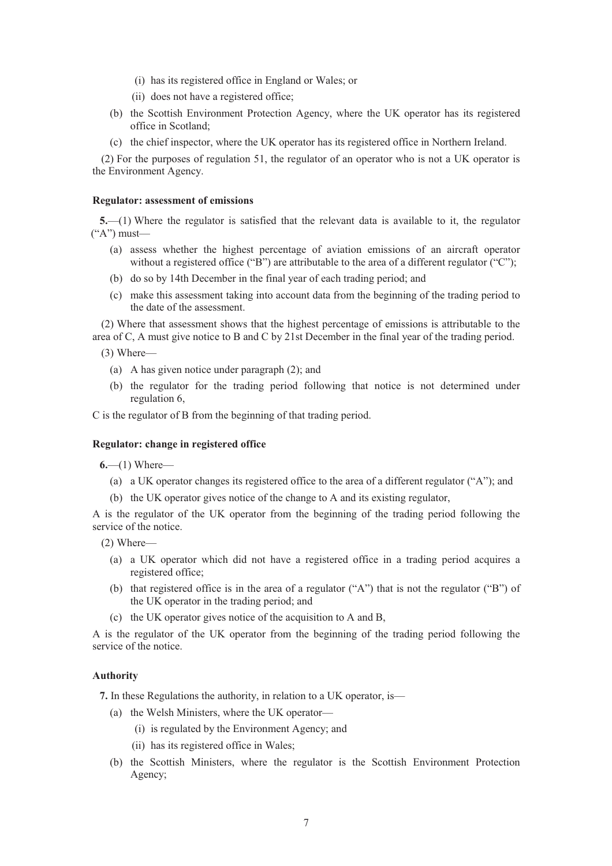- (i) has its registered office in England or Wales; or
- (ii) does not have a registered office;
- (b) the Scottish Environment Protection Agency, where the UK operator has its registered office in Scotland;
- (c) the chief inspector, where the UK operator has its registered office in Northern Ireland.

(2) For the purposes of regulation 51, the regulator of an operator who is not a UK operator is the Environment Agency.

#### **Regulator: assessment of emissions**

**5.**—(1) Where the regulator is satisfied that the relevant data is available to it, the regulator  $(*A")$  must—

- (a) assess whether the highest percentage of aviation emissions of an aircraft operator without a registered office ("B") are attributable to the area of a different regulator ("C");
- (b) do so by 14th December in the final year of each trading period; and
- (c) make this assessment taking into account data from the beginning of the trading period to the date of the assessment.

(2) Where that assessment shows that the highest percentage of emissions is attributable to the area of C, A must give notice to B and C by 21st December in the final year of the trading period.

- (3) Where—
	- (a) A has given notice under paragraph (2); and
	- (b) the regulator for the trading period following that notice is not determined under regulation 6,

C is the regulator of B from the beginning of that trading period.

## **Regulator: change in registered office**

**6.**—(1) Where—

- (a) a UK operator changes its registered office to the area of a different regulator ("A"); and
- (b) the UK operator gives notice of the change to A and its existing regulator,

A is the regulator of the UK operator from the beginning of the trading period following the service of the notice.

(2) Where—

- (a) a UK operator which did not have a registered office in a trading period acquires a registered office;
- (b) that registered office is in the area of a regulator ("A") that is not the regulator ("B") of the UK operator in the trading period; and
- (c) the UK operator gives notice of the acquisition to A and B,

A is the regulator of the UK operator from the beginning of the trading period following the service of the notice.

## **Authority**

**7.** In these Regulations the authority, in relation to a UK operator, is—

- (a) the Welsh Ministers, where the UK operator—
	- (i) is regulated by the Environment Agency; and
	- (ii) has its registered office in Wales;
- (b) the Scottish Ministers, where the regulator is the Scottish Environment Protection Agency;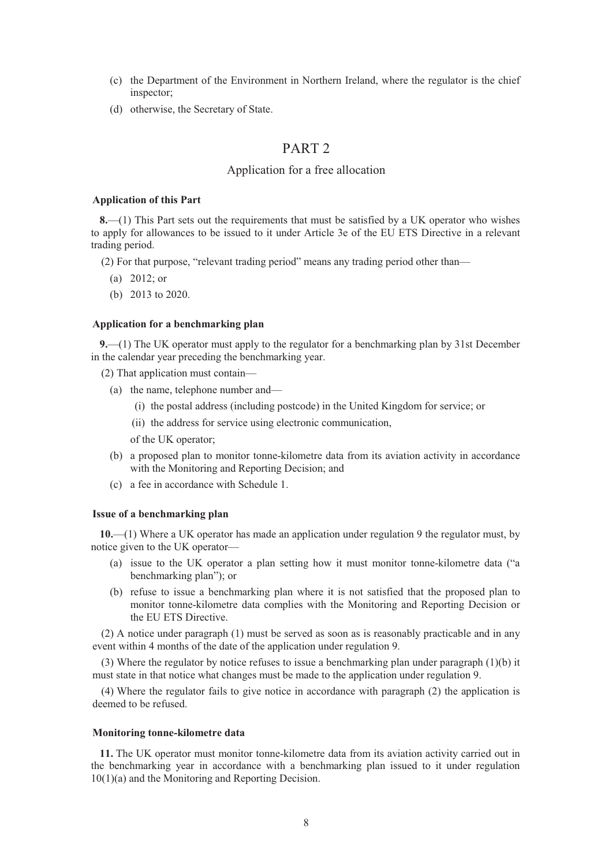- (c) the Department of the Environment in Northern Ireland, where the regulator is the chief inspector;
- (d) otherwise, the Secretary of State.

# PART 2

## Application for a free allocation

#### **Application of this Part**

**8.**—(1) This Part sets out the requirements that must be satisfied by a UK operator who wishes to apply for allowances to be issued to it under Article 3e of the EU ETS Directive in a relevant trading period.

(2) For that purpose, "relevant trading period" means any trading period other than—

- (a) 2012; or
- (b) 2013 to 2020.

## **Application for a benchmarking plan**

**9.**—(1) The UK operator must apply to the regulator for a benchmarking plan by 31st December in the calendar year preceding the benchmarking year.

- (2) That application must contain—
	- (a) the name, telephone number and—
		- (i) the postal address (including postcode) in the United Kingdom for service; or
		- (ii) the address for service using electronic communication,

of the UK operator;

- (b) a proposed plan to monitor tonne-kilometre data from its aviation activity in accordance with the Monitoring and Reporting Decision; and
- (c) a fee in accordance with Schedule 1.

#### **Issue of a benchmarking plan**

**10.**—(1) Where a UK operator has made an application under regulation 9 the regulator must, by notice given to the UK operator—

- (a) issue to the UK operator a plan setting how it must monitor tonne-kilometre data ("a benchmarking plan"); or
- (b) refuse to issue a benchmarking plan where it is not satisfied that the proposed plan to monitor tonne-kilometre data complies with the Monitoring and Reporting Decision or the EU ETS Directive.

(2) A notice under paragraph (1) must be served as soon as is reasonably practicable and in any event within 4 months of the date of the application under regulation 9.

(3) Where the regulator by notice refuses to issue a benchmarking plan under paragraph  $(1)(b)$  it must state in that notice what changes must be made to the application under regulation 9.

(4) Where the regulator fails to give notice in accordance with paragraph (2) the application is deemed to be refused.

#### **Monitoring tonne-kilometre data**

**11.** The UK operator must monitor tonne-kilometre data from its aviation activity carried out in the benchmarking year in accordance with a benchmarking plan issued to it under regulation 10(1)(a) and the Monitoring and Reporting Decision.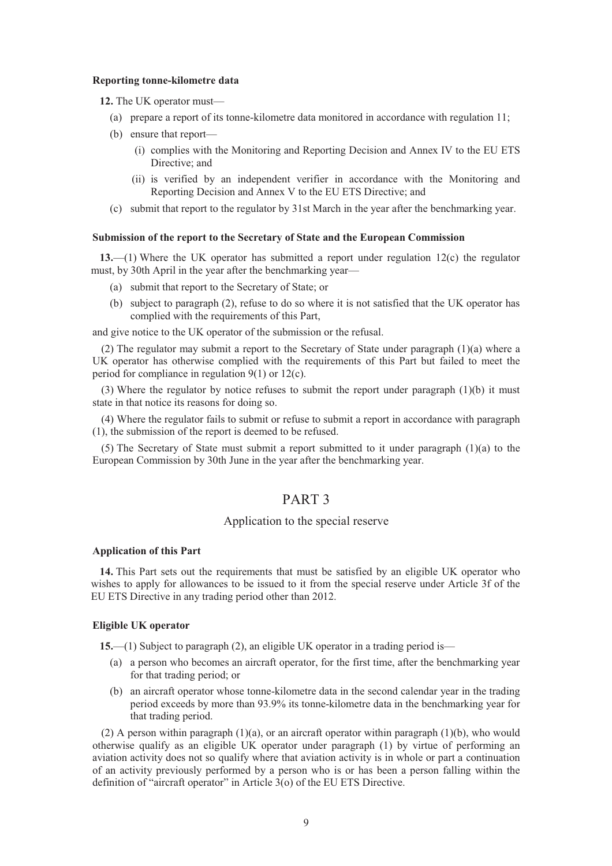#### **Reporting tonne-kilometre data**

**12.** The UK operator must—

- (a) prepare a report of its tonne-kilometre data monitored in accordance with regulation 11;
- (b) ensure that report—
	- (i) complies with the Monitoring and Reporting Decision and Annex IV to the EU ETS Directive; and
	- (ii) is verified by an independent verifier in accordance with the Monitoring and Reporting Decision and Annex V to the EU ETS Directive; and
- (c) submit that report to the regulator by 31st March in the year after the benchmarking year.

### **Submission of the report to the Secretary of State and the European Commission**

**13.**—(1) Where the UK operator has submitted a report under regulation 12(c) the regulator must, by 30th April in the year after the benchmarking year—

- (a) submit that report to the Secretary of State; or
- (b) subject to paragraph (2), refuse to do so where it is not satisfied that the UK operator has complied with the requirements of this Part,

and give notice to the UK operator of the submission or the refusal.

(2) The regulator may submit a report to the Secretary of State under paragraph (1)(a) where a UK operator has otherwise complied with the requirements of this Part but failed to meet the period for compliance in regulation 9(1) or 12(c).

(3) Where the regulator by notice refuses to submit the report under paragraph (1)(b) it must state in that notice its reasons for doing so.

(4) Where the regulator fails to submit or refuse to submit a report in accordance with paragraph (1), the submission of the report is deemed to be refused.

(5) The Secretary of State must submit a report submitted to it under paragraph (1)(a) to the European Commission by 30th June in the year after the benchmarking year.

## PART 3

### Application to the special reserve

#### **Application of this Part**

**14.** This Part sets out the requirements that must be satisfied by an eligible UK operator who wishes to apply for allowances to be issued to it from the special reserve under Article 3f of the EU ETS Directive in any trading period other than 2012.

### **Eligible UK operator**

**15.**—(1) Subject to paragraph (2), an eligible UK operator in a trading period is—

- (a) a person who becomes an aircraft operator, for the first time, after the benchmarking year for that trading period; or
- (b) an aircraft operator whose tonne-kilometre data in the second calendar year in the trading period exceeds by more than 93.9% its tonne-kilometre data in the benchmarking year for that trading period.

(2) A person within paragraph  $(1)(a)$ , or an aircraft operator within paragraph  $(1)(b)$ , who would otherwise qualify as an eligible UK operator under paragraph (1) by virtue of performing an aviation activity does not so qualify where that aviation activity is in whole or part a continuation of an activity previously performed by a person who is or has been a person falling within the definition of "aircraft operator" in Article 3(o) of the EU ETS Directive.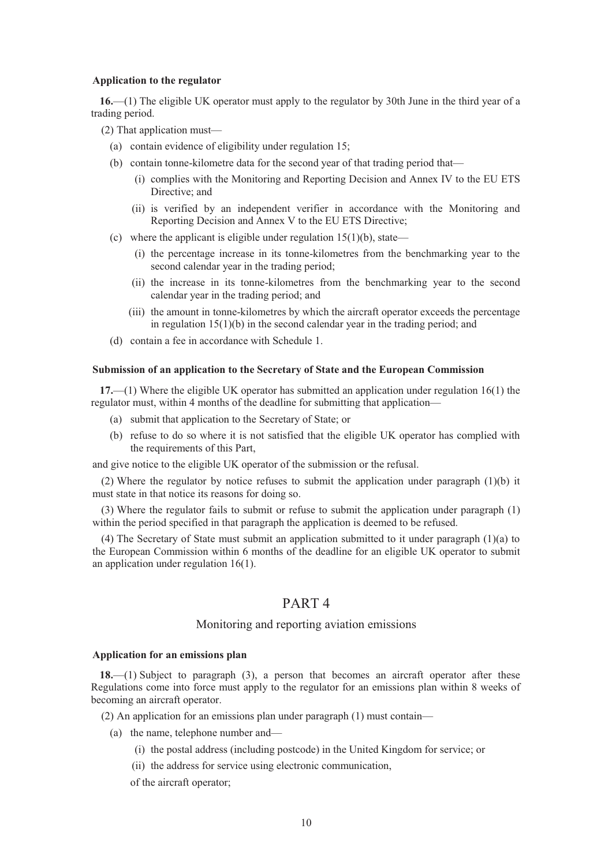#### **Application to the regulator**

**16.**—(1) The eligible UK operator must apply to the regulator by 30th June in the third year of a trading period.

(2) That application must—

- (a) contain evidence of eligibility under regulation 15;
- (b) contain tonne-kilometre data for the second year of that trading period that—
	- (i) complies with the Monitoring and Reporting Decision and Annex IV to the EU ETS Directive; and
	- (ii) is verified by an independent verifier in accordance with the Monitoring and Reporting Decision and Annex V to the EU ETS Directive;
- (c) where the applicant is eligible under regulation  $15(1)(b)$ , state—
	- (i) the percentage increase in its tonne-kilometres from the benchmarking year to the second calendar year in the trading period;
	- (ii) the increase in its tonne-kilometres from the benchmarking year to the second calendar year in the trading period; and
	- (iii) the amount in tonne-kilometres by which the aircraft operator exceeds the percentage in regulation 15(1)(b) in the second calendar year in the trading period; and
- (d) contain a fee in accordance with Schedule 1.

### **Submission of an application to the Secretary of State and the European Commission**

**17.**—(1) Where the eligible UK operator has submitted an application under regulation 16(1) the regulator must, within 4 months of the deadline for submitting that application—

- (a) submit that application to the Secretary of State; or
- (b) refuse to do so where it is not satisfied that the eligible UK operator has complied with the requirements of this Part,

and give notice to the eligible UK operator of the submission or the refusal.

(2) Where the regulator by notice refuses to submit the application under paragraph (1)(b) it must state in that notice its reasons for doing so.

(3) Where the regulator fails to submit or refuse to submit the application under paragraph (1) within the period specified in that paragraph the application is deemed to be refused.

(4) The Secretary of State must submit an application submitted to it under paragraph (1)(a) to the European Commission within 6 months of the deadline for an eligible UK operator to submit an application under regulation 16(1).

# PART 4

## Monitoring and reporting aviation emissions

#### **Application for an emissions plan**

**18.**—(1) Subject to paragraph (3), a person that becomes an aircraft operator after these Regulations come into force must apply to the regulator for an emissions plan within 8 weeks of becoming an aircraft operator.

- (2) An application for an emissions plan under paragraph (1) must contain—
	- (a) the name, telephone number and—
		- (i) the postal address (including postcode) in the United Kingdom for service; or
		- (ii) the address for service using electronic communication,

of the aircraft operator;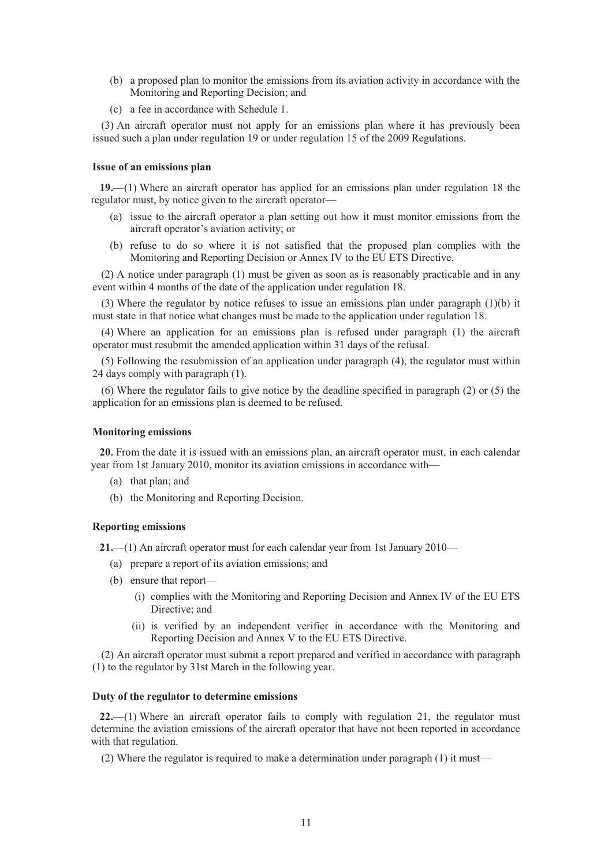- (b) a proposed plan to monitor the emissions from its aviation activity in accordance with the Monitoring and Reporting Decision; and
- (c) a fee in accordance with Schedule 1.

(3) An aircraft operator must not apply for an emissions plan where it has previously been issued such a plan under regulation 19 or under regulation 15 of the 2009 Regulations.

## **Issue of an emissions plan**

**19.**—(1) Where an aircraft operator has applied for an emissions plan under regulation 18 the regulator must, by notice given to the aircraft operator—

- (a) issue to the aircraft operator a plan setting out how it must monitor emissions from the aircraft operator's aviation activity; or
- (b) refuse to do so where it is not satisfied that the proposed plan complies with the Monitoring and Reporting Decision or Annex IV to the EU ETS Directive.

(2) A notice under paragraph (1) must be given as soon as is reasonably practicable and in any event within 4 months of the date of the application under regulation 18.

(3) Where the regulator by notice refuses to issue an emissions plan under paragraph  $(1)(b)$  it must state in that notice what changes must be made to the application under regulation 18.

(4) Where an application for an emissions plan is refused under paragraph (1) the aircraft operator must resubmit the amended application within 31 days of the refusal.

(5) Following the resubmission of an application under paragraph (4), the regulator must within 24 days comply with paragraph (1).

(6) Where the regulator fails to give notice by the deadline specified in paragraph (2) or (5) the application for an emissions plan is deemed to be refused.

## **Monitoring emissions**

**20.** From the date it is issued with an emissions plan, an aircraft operator must, in each calendar year from 1st January 2010, monitor its aviation emissions in accordance with—

- (a) that plan; and
- (b) the Monitoring and Reporting Decision.

#### **Reporting emissions**

**21.**—(1) An aircraft operator must for each calendar year from 1st January 2010—

- (a) prepare a report of its aviation emissions; and
- (b) ensure that report—
	- (i) complies with the Monitoring and Reporting Decision and Annex IV of the EU ETS Directive; and
	- (ii) is verified by an independent verifier in accordance with the Monitoring and Reporting Decision and Annex V to the EU ETS Directive.

(2) An aircraft operator must submit a report prepared and verified in accordance with paragraph (1) to the regulator by 31st March in the following year.

### **Duty of the regulator to determine emissions**

**22.**—(1) Where an aircraft operator fails to comply with regulation 21, the regulator must determine the aviation emissions of the aircraft operator that have not been reported in accordance with that regulation.

(2) Where the regulator is required to make a determination under paragraph (1) it must—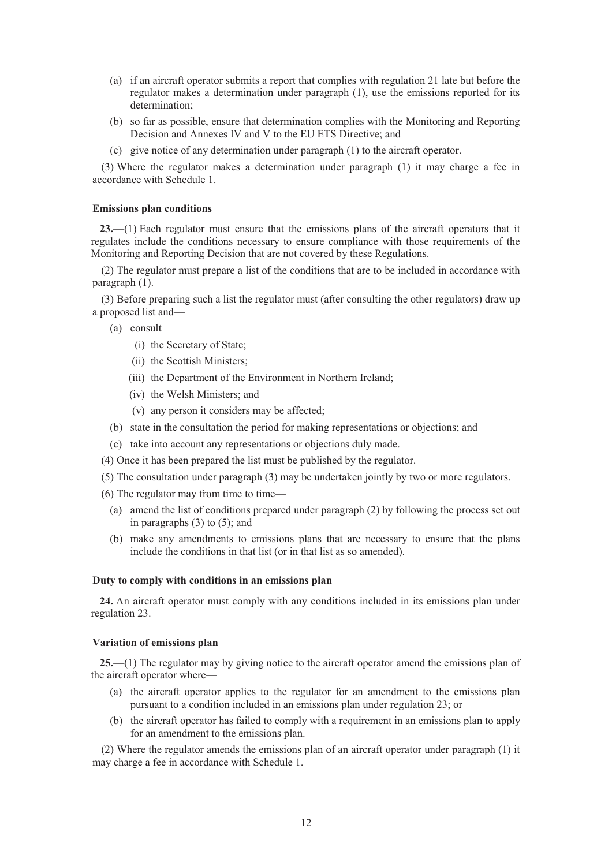- (a) if an aircraft operator submits a report that complies with regulation 21 late but before the regulator makes a determination under paragraph (1), use the emissions reported for its determination;
- (b) so far as possible, ensure that determination complies with the Monitoring and Reporting Decision and Annexes IV and V to the EU ETS Directive; and
- (c) give notice of any determination under paragraph (1) to the aircraft operator.

(3) Where the regulator makes a determination under paragraph (1) it may charge a fee in accordance with Schedule 1.

## **Emissions plan conditions**

**23.**—(1) Each regulator must ensure that the emissions plans of the aircraft operators that it regulates include the conditions necessary to ensure compliance with those requirements of the Monitoring and Reporting Decision that are not covered by these Regulations.

(2) The regulator must prepare a list of the conditions that are to be included in accordance with paragraph (1).

(3) Before preparing such a list the regulator must (after consulting the other regulators) draw up a proposed list and—

- (a) consult—
	- (i) the Secretary of State;
	- (ii) the Scottish Ministers;
	- (iii) the Department of the Environment in Northern Ireland;
	- (iv) the Welsh Ministers; and
	- (v) any person it considers may be affected;
- (b) state in the consultation the period for making representations or objections; and
- (c) take into account any representations or objections duly made.
- (4) Once it has been prepared the list must be published by the regulator.
- (5) The consultation under paragraph (3) may be undertaken jointly by two or more regulators.
- (6) The regulator may from time to time—
	- (a) amend the list of conditions prepared under paragraph (2) by following the process set out in paragraphs (3) to (5); and
	- (b) make any amendments to emissions plans that are necessary to ensure that the plans include the conditions in that list (or in that list as so amended).

## **Duty to comply with conditions in an emissions plan**

**24.** An aircraft operator must comply with any conditions included in its emissions plan under regulation 23.

#### **Variation of emissions plan**

**25.**—(1) The regulator may by giving notice to the aircraft operator amend the emissions plan of the aircraft operator where—

- (a) the aircraft operator applies to the regulator for an amendment to the emissions plan pursuant to a condition included in an emissions plan under regulation 23; or
- (b) the aircraft operator has failed to comply with a requirement in an emissions plan to apply for an amendment to the emissions plan.

(2) Where the regulator amends the emissions plan of an aircraft operator under paragraph (1) it may charge a fee in accordance with Schedule 1.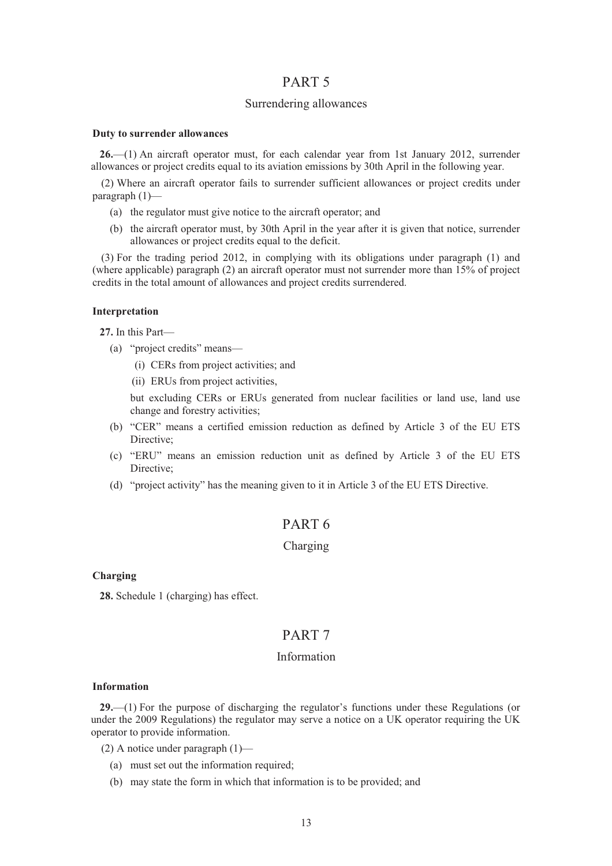## PART 5

## Surrendering allowances

#### **Duty to surrender allowances**

**26.**—(1) An aircraft operator must, for each calendar year from 1st January 2012, surrender allowances or project credits equal to its aviation emissions by 30th April in the following year.

(2) Where an aircraft operator fails to surrender sufficient allowances or project credits under paragraph (1)—

- (a) the regulator must give notice to the aircraft operator; and
- (b) the aircraft operator must, by 30th April in the year after it is given that notice, surrender allowances or project credits equal to the deficit.

(3) For the trading period 2012, in complying with its obligations under paragraph (1) and (where applicable) paragraph (2) an aircraft operator must not surrender more than 15% of project credits in the total amount of allowances and project credits surrendered.

#### **Interpretation**

**27.** In this Part—

- (a) "project credits" means—
	- (i) CERs from project activities; and
	- (ii) ERUs from project activities,

but excluding CERs or ERUs generated from nuclear facilities or land use, land use change and forestry activities;

- (b) "CER" means a certified emission reduction as defined by Article 3 of the EU ETS Directive;
- (c) "ERU" means an emission reduction unit as defined by Article 3 of the EU ETS Directive;
- (d) "project activity" has the meaning given to it in Article 3 of the EU ETS Directive.

# PART 6

## Charging

**Charging** 

**28.** Schedule 1 (charging) has effect.

# PART 7

## Information

#### **Information**

**29.**—(1) For the purpose of discharging the regulator's functions under these Regulations (or under the 2009 Regulations) the regulator may serve a notice on a UK operator requiring the UK operator to provide information.

(2) A notice under paragraph (1)—

- (a) must set out the information required;
- (b) may state the form in which that information is to be provided; and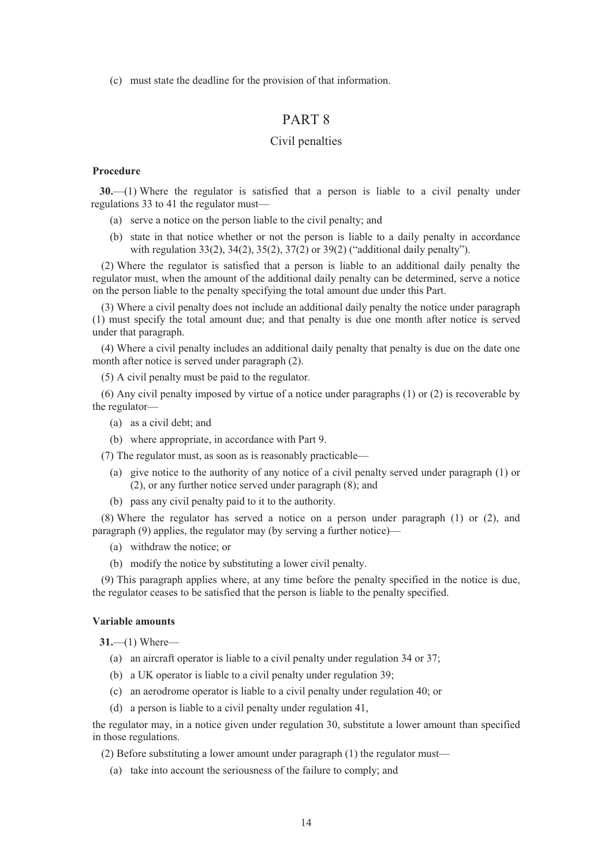(c) must state the deadline for the provision of that information.

# PART 8

## Civil penalties

## **Procedure**

**30.**—(1) Where the regulator is satisfied that a person is liable to a civil penalty under regulations 33 to 41 the regulator must—

- (a) serve a notice on the person liable to the civil penalty; and
- (b) state in that notice whether or not the person is liable to a daily penalty in accordance with regulation 33(2), 34(2), 35(2), 37(2) or 39(2) ("additional daily penalty").

(2) Where the regulator is satisfied that a person is liable to an additional daily penalty the regulator must, when the amount of the additional daily penalty can be determined, serve a notice on the person liable to the penalty specifying the total amount due under this Part.

(3) Where a civil penalty does not include an additional daily penalty the notice under paragraph (1) must specify the total amount due; and that penalty is due one month after notice is served under that paragraph.

(4) Where a civil penalty includes an additional daily penalty that penalty is due on the date one month after notice is served under paragraph (2).

(5) A civil penalty must be paid to the regulator.

(6) Any civil penalty imposed by virtue of a notice under paragraphs (1) or (2) is recoverable by the regulator—

- (a) as a civil debt; and
- (b) where appropriate, in accordance with Part 9.

(7) The regulator must, as soon as is reasonably practicable—

- (a) give notice to the authority of any notice of a civil penalty served under paragraph (1) or (2), or any further notice served under paragraph (8); and
- (b) pass any civil penalty paid to it to the authority.

(8) Where the regulator has served a notice on a person under paragraph (1) or (2), and paragraph (9) applies, the regulator may (by serving a further notice)—

- (a) withdraw the notice; or
- (b) modify the notice by substituting a lower civil penalty.

(9) This paragraph applies where, at any time before the penalty specified in the notice is due, the regulator ceases to be satisfied that the person is liable to the penalty specified.

#### **Variable amounts**

**31.**—(1) Where—

- (a) an aircraft operator is liable to a civil penalty under regulation 34 or 37;
- (b) a UK operator is liable to a civil penalty under regulation 39;
- (c) an aerodrome operator is liable to a civil penalty under regulation 40; or
- (d) a person is liable to a civil penalty under regulation 41,

the regulator may, in a notice given under regulation 30, substitute a lower amount than specified in those regulations.

- (2) Before substituting a lower amount under paragraph (1) the regulator must—
	- (a) take into account the seriousness of the failure to comply; and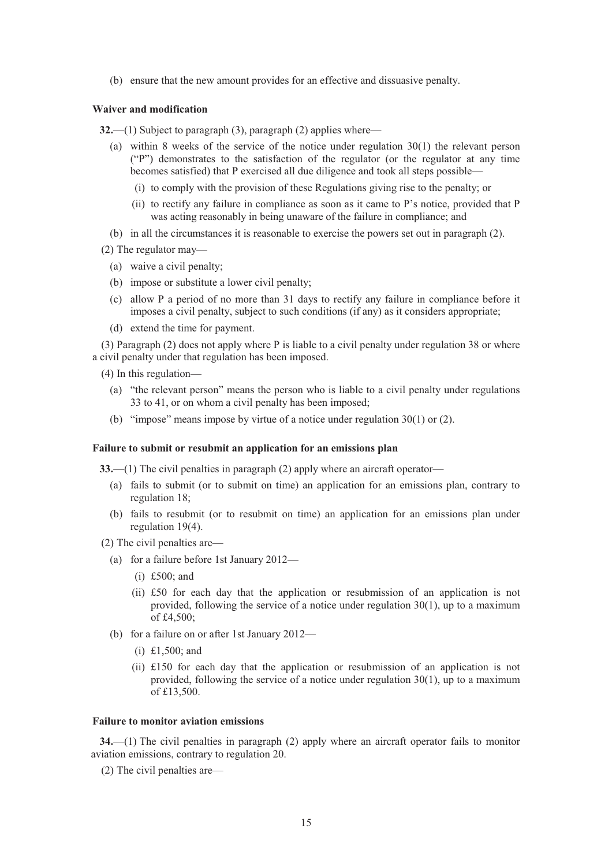(b) ensure that the new amount provides for an effective and dissuasive penalty.

### **Waiver and modification**

**32.**—(1) Subject to paragraph (3), paragraph (2) applies where—

- (a) within 8 weeks of the service of the notice under regulation 30(1) the relevant person ("P") demonstrates to the satisfaction of the regulator (or the regulator at any time becomes satisfied) that P exercised all due diligence and took all steps possible—
	- (i) to comply with the provision of these Regulations giving rise to the penalty; or
	- (ii) to rectify any failure in compliance as soon as it came to P's notice, provided that P was acting reasonably in being unaware of the failure in compliance; and
- (b) in all the circumstances it is reasonable to exercise the powers set out in paragraph (2).
- (2) The regulator may—
	- (a) waive a civil penalty;
	- (b) impose or substitute a lower civil penalty;
	- (c) allow P a period of no more than 31 days to rectify any failure in compliance before it imposes a civil penalty, subject to such conditions (if any) as it considers appropriate;
	- (d) extend the time for payment.

(3) Paragraph (2) does not apply where P is liable to a civil penalty under regulation 38 or where a civil penalty under that regulation has been imposed.

(4) In this regulation—

- (a) "the relevant person" means the person who is liable to a civil penalty under regulations 33 to 41, or on whom a civil penalty has been imposed;
- (b) "impose" means impose by virtue of a notice under regulation 30(1) or (2).

## **Failure to submit or resubmit an application for an emissions plan**

**33.**—(1) The civil penalties in paragraph (2) apply where an aircraft operator—

- (a) fails to submit (or to submit on time) an application for an emissions plan, contrary to regulation 18;
- (b) fails to resubmit (or to resubmit on time) an application for an emissions plan under regulation 19(4).
- (2) The civil penalties are—
	- (a) for a failure before 1st January 2012—
		- (i) £500; and
		- (ii) £50 for each day that the application or resubmission of an application is not provided, following the service of a notice under regulation 30(1), up to a maximum of £4,500;
	- (b) for a failure on or after 1st January 2012—
		- (i) £1,500; and
		- (ii) £150 for each day that the application or resubmission of an application is not provided, following the service of a notice under regulation 30(1), up to a maximum of £13,500.

#### **Failure to monitor aviation emissions**

**34.**—(1) The civil penalties in paragraph (2) apply where an aircraft operator fails to monitor aviation emissions, contrary to regulation 20.

(2) The civil penalties are—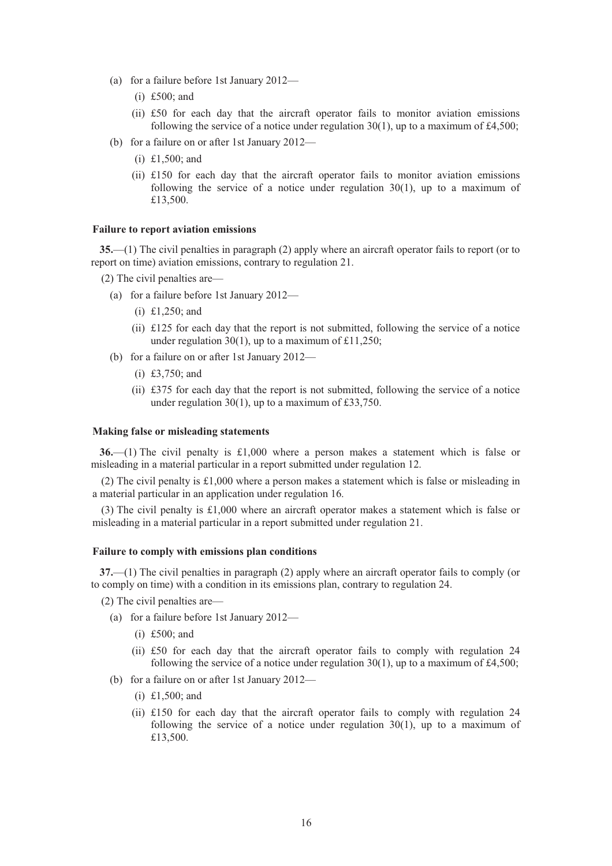- (a) for a failure before 1st January 2012—
	- (i) £500; and
	- (ii) £50 for each day that the aircraft operator fails to monitor aviation emissions following the service of a notice under regulation  $30(1)$ , up to a maximum of £4,500;
- (b) for a failure on or after 1st January 2012—
	- (i) £1,500; and
	- (ii) £150 for each day that the aircraft operator fails to monitor aviation emissions following the service of a notice under regulation  $30(1)$ , up to a maximum of £13,500.

### **Failure to report aviation emissions**

**35.**—(1) The civil penalties in paragraph (2) apply where an aircraft operator fails to report (or to report on time) aviation emissions, contrary to regulation 21.

- (2) The civil penalties are—
	- (a) for a failure before 1st January 2012—
		- (i) £1,250; and
		- (ii) £125 for each day that the report is not submitted, following the service of a notice under regulation 30(1), up to a maximum of £11,250;
	- (b) for a failure on or after 1st January 2012—
		- (i) £3,750; and
		- (ii) £375 for each day that the report is not submitted, following the service of a notice under regulation 30(1), up to a maximum of £33,750.

## **Making false or misleading statements**

**36.**—(1) The civil penalty is £1,000 where a person makes a statement which is false or misleading in a material particular in a report submitted under regulation 12.

(2) The civil penalty is £1,000 where a person makes a statement which is false or misleading in a material particular in an application under regulation 16.

(3) The civil penalty is £1,000 where an aircraft operator makes a statement which is false or misleading in a material particular in a report submitted under regulation 21.

#### **Failure to comply with emissions plan conditions**

**37.**—(1) The civil penalties in paragraph (2) apply where an aircraft operator fails to comply (or to comply on time) with a condition in its emissions plan, contrary to regulation 24.

(2) The civil penalties are—

- (a) for a failure before 1st January 2012—
	- (i) £500; and
	- (ii) £50 for each day that the aircraft operator fails to comply with regulation 24 following the service of a notice under regulation  $30(1)$ , up to a maximum of £4,500;
- (b) for a failure on or after 1st January 2012—
	- (i) £1,500; and
	- (ii)  $\text{\pounds}150$  for each day that the aircraft operator fails to comply with regulation 24 following the service of a notice under regulation 30(1), up to a maximum of £13,500.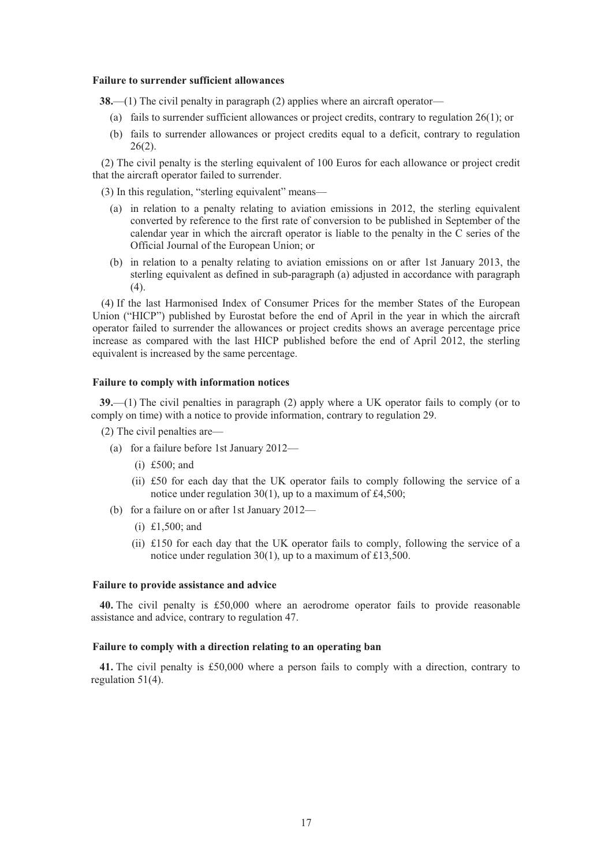#### **Failure to surrender sufficient allowances**

**38.**—(1) The civil penalty in paragraph (2) applies where an aircraft operator—

- (a) fails to surrender sufficient allowances or project credits, contrary to regulation 26(1); or
- (b) fails to surrender allowances or project credits equal to a deficit, contrary to regulation  $26(2)$ .

(2) The civil penalty is the sterling equivalent of 100 Euros for each allowance or project credit that the aircraft operator failed to surrender.

(3) In this regulation, "sterling equivalent" means—

- (a) in relation to a penalty relating to aviation emissions in 2012, the sterling equivalent converted by reference to the first rate of conversion to be published in September of the calendar year in which the aircraft operator is liable to the penalty in the C series of the Official Journal of the European Union; or
- (b) in relation to a penalty relating to aviation emissions on or after 1st January 2013, the sterling equivalent as defined in sub-paragraph (a) adjusted in accordance with paragraph (4).

(4) If the last Harmonised Index of Consumer Prices for the member States of the European Union ("HICP") published by Eurostat before the end of April in the year in which the aircraft operator failed to surrender the allowances or project credits shows an average percentage price increase as compared with the last HICP published before the end of April 2012, the sterling equivalent is increased by the same percentage.

### **Failure to comply with information notices**

**39.**—(1) The civil penalties in paragraph (2) apply where a UK operator fails to comply (or to comply on time) with a notice to provide information, contrary to regulation 29.

- (2) The civil penalties are—
	- (a) for a failure before 1st January 2012—
		- (i) £500; and
		- (ii) £50 for each day that the UK operator fails to comply following the service of a notice under regulation 30(1), up to a maximum of £4,500;
	- (b) for a failure on or after 1st January 2012—
		- (i) £1,500; and
		- (ii) £150 for each day that the UK operator fails to comply, following the service of a notice under regulation 30(1), up to a maximum of £13,500.

## **Failure to provide assistance and advice**

**40.** The civil penalty is £50,000 where an aerodrome operator fails to provide reasonable assistance and advice, contrary to regulation 47.

## **Failure to comply with a direction relating to an operating ban**

**41.** The civil penalty is £50,000 where a person fails to comply with a direction, contrary to regulation 51(4).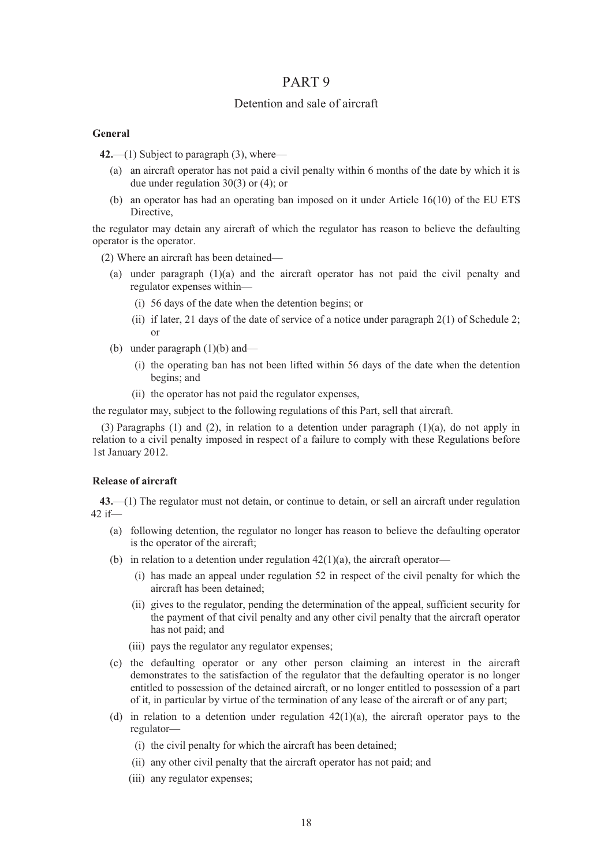## PART 9

## Detention and sale of aircraft

## **General**

**42.**—(1) Subject to paragraph (3), where—

- (a) an aircraft operator has not paid a civil penalty within 6 months of the date by which it is due under regulation 30(3) or (4); or
- (b) an operator has had an operating ban imposed on it under Article 16(10) of the EU ETS Directive,

the regulator may detain any aircraft of which the regulator has reason to believe the defaulting operator is the operator.

(2) Where an aircraft has been detained—

- (a) under paragraph  $(1)(a)$  and the aircraft operator has not paid the civil penalty and regulator expenses within—
	- (i) 56 days of the date when the detention begins; or
	- (ii) if later, 21 days of the date of service of a notice under paragraph  $2(1)$  of Schedule 2; or
- (b) under paragraph (1)(b) and—
	- (i) the operating ban has not been lifted within 56 days of the date when the detention begins; and
	- (ii) the operator has not paid the regulator expenses,

the regulator may, subject to the following regulations of this Part, sell that aircraft.

(3) Paragraphs (1) and (2), in relation to a detention under paragraph (1)(a), do not apply in relation to a civil penalty imposed in respect of a failure to comply with these Regulations before 1st January 2012.

## **Release of aircraft**

**43.**—(1) The regulator must not detain, or continue to detain, or sell an aircraft under regulation 42 if—

- (a) following detention, the regulator no longer has reason to believe the defaulting operator is the operator of the aircraft;
- (b) in relation to a detention under regulation  $42(1)(a)$ , the aircraft operator—
	- (i) has made an appeal under regulation 52 in respect of the civil penalty for which the aircraft has been detained;
	- (ii) gives to the regulator, pending the determination of the appeal, sufficient security for the payment of that civil penalty and any other civil penalty that the aircraft operator has not paid; and
	- (iii) pays the regulator any regulator expenses;
- (c) the defaulting operator or any other person claiming an interest in the aircraft demonstrates to the satisfaction of the regulator that the defaulting operator is no longer entitled to possession of the detained aircraft, or no longer entitled to possession of a part of it, in particular by virtue of the termination of any lease of the aircraft or of any part;
- (d) in relation to a detention under regulation  $42(1)(a)$ , the aircraft operator pays to the regulator—
	- (i) the civil penalty for which the aircraft has been detained;
	- (ii) any other civil penalty that the aircraft operator has not paid; and
	- (iii) any regulator expenses;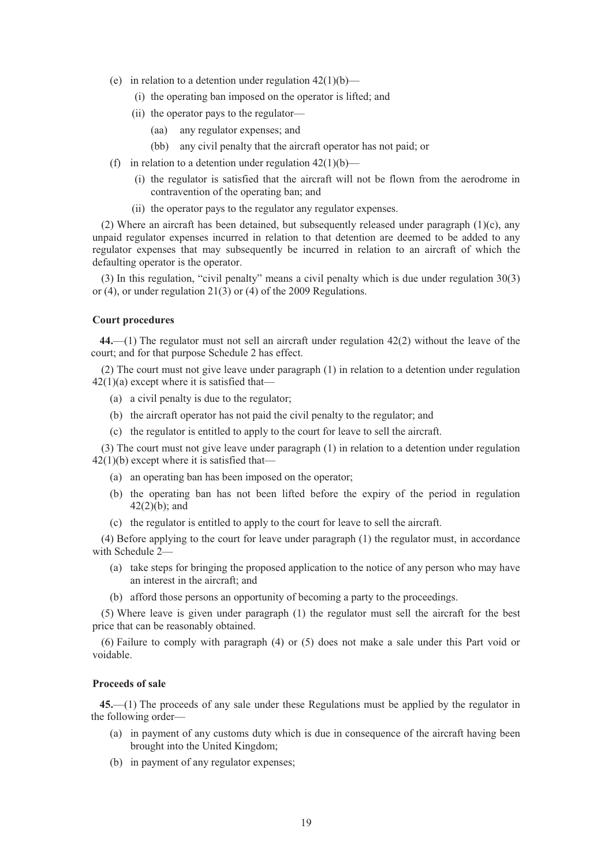- (e) in relation to a detention under regulation  $42(1)(b)$ 
	- (i) the operating ban imposed on the operator is lifted; and
	- (ii) the operator pays to the regulator—
		- (aa) any regulator expenses; and
		- (bb) any civil penalty that the aircraft operator has not paid; or
- (f) in relation to a detention under regulation  $42(1)(b)$ 
	- (i) the regulator is satisfied that the aircraft will not be flown from the aerodrome in contravention of the operating ban; and
	- (ii) the operator pays to the regulator any regulator expenses.

(2) Where an aircraft has been detained, but subsequently released under paragraph  $(1)(c)$ , any unpaid regulator expenses incurred in relation to that detention are deemed to be added to any regulator expenses that may subsequently be incurred in relation to an aircraft of which the defaulting operator is the operator.

(3) In this regulation, "civil penalty" means a civil penalty which is due under regulation 30(3) or (4), or under regulation 21(3) or (4) of the 2009 Regulations.

## **Court procedures**

**44.**—(1) The regulator must not sell an aircraft under regulation 42(2) without the leave of the court; and for that purpose Schedule 2 has effect.

(2) The court must not give leave under paragraph (1) in relation to a detention under regulation  $42(1)(a)$  except where it is satisfied that—

- (a) a civil penalty is due to the regulator;
- (b) the aircraft operator has not paid the civil penalty to the regulator; and
- (c) the regulator is entitled to apply to the court for leave to sell the aircraft.

(3) The court must not give leave under paragraph (1) in relation to a detention under regulation  $42(1)(b)$  except where it is satisfied that-

- (a) an operating ban has been imposed on the operator;
- (b) the operating ban has not been lifted before the expiry of the period in regulation 42(2)(b); and
- (c) the regulator is entitled to apply to the court for leave to sell the aircraft.

(4) Before applying to the court for leave under paragraph (1) the regulator must, in accordance with Schedule 2—

- (a) take steps for bringing the proposed application to the notice of any person who may have an interest in the aircraft; and
- (b) afford those persons an opportunity of becoming a party to the proceedings.

(5) Where leave is given under paragraph (1) the regulator must sell the aircraft for the best price that can be reasonably obtained.

(6) Failure to comply with paragraph (4) or (5) does not make a sale under this Part void or voidable.

## **Proceeds of sale**

**45.**—(1) The proceeds of any sale under these Regulations must be applied by the regulator in the following order—

- (a) in payment of any customs duty which is due in consequence of the aircraft having been brought into the United Kingdom;
- (b) in payment of any regulator expenses;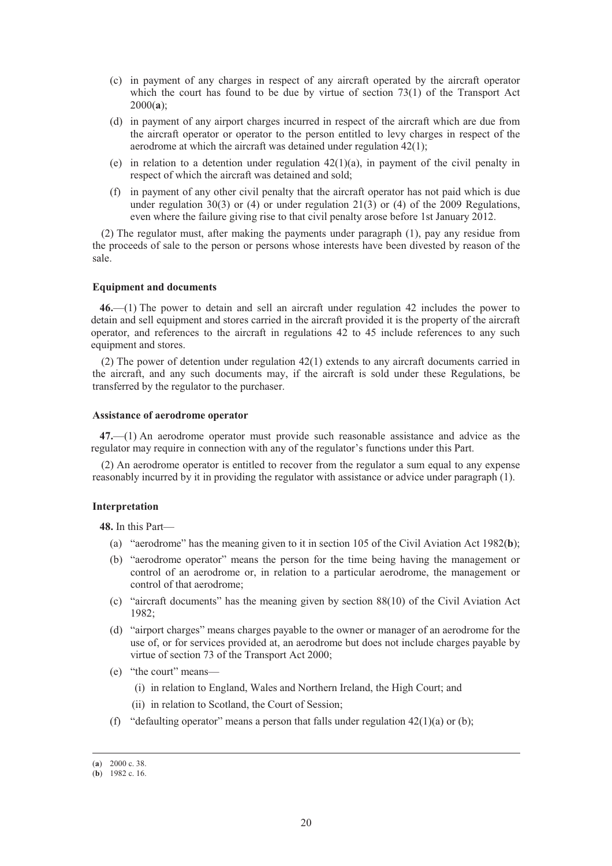- (c) in payment of any charges in respect of any aircraft operated by the aircraft operator which the court has found to be due by virtue of section  $73(1)$  of the Transport Act 2000(**a**);
- (d) in payment of any airport charges incurred in respect of the aircraft which are due from the aircraft operator or operator to the person entitled to levy charges in respect of the aerodrome at which the aircraft was detained under regulation 42(1);
- (e) in relation to a detention under regulation 42(1)(a), in payment of the civil penalty in respect of which the aircraft was detained and sold;
- (f) in payment of any other civil penalty that the aircraft operator has not paid which is due under regulation  $30(3)$  or (4) or under regulation  $21(3)$  or (4) of the 2009 Regulations, even where the failure giving rise to that civil penalty arose before 1st January 2012.

(2) The regulator must, after making the payments under paragraph (1), pay any residue from the proceeds of sale to the person or persons whose interests have been divested by reason of the sale.

## **Equipment and documents**

**46.**—(1) The power to detain and sell an aircraft under regulation 42 includes the power to detain and sell equipment and stores carried in the aircraft provided it is the property of the aircraft operator, and references to the aircraft in regulations 42 to 45 include references to any such equipment and stores.

(2) The power of detention under regulation 42(1) extends to any aircraft documents carried in the aircraft, and any such documents may, if the aircraft is sold under these Regulations, be transferred by the regulator to the purchaser.

#### **Assistance of aerodrome operator**

**47.**—(1) An aerodrome operator must provide such reasonable assistance and advice as the regulator may require in connection with any of the regulator's functions under this Part.

(2) An aerodrome operator is entitled to recover from the regulator a sum equal to any expense reasonably incurred by it in providing the regulator with assistance or advice under paragraph (1).

#### **Interpretation**

**48.** In this Part—

- (a) "aerodrome" has the meaning given to it in section 105 of the Civil Aviation Act 1982(**b**);
- (b) "aerodrome operator" means the person for the time being having the management or control of an aerodrome or, in relation to a particular aerodrome, the management or control of that aerodrome;
- (c) "aircraft documents" has the meaning given by section 88(10) of the Civil Aviation Act 1982;
- (d) "airport charges" means charges payable to the owner or manager of an aerodrome for the use of, or for services provided at, an aerodrome but does not include charges payable by virtue of section 73 of the Transport Act 2000;
- (e) "the court" means—
	- (i) in relation to England, Wales and Northern Ireland, the High Court; and
	- (ii) in relation to Scotland, the Court of Session;
- (f) "defaulting operator" means a person that falls under regulation  $42(1)(a)$  or (b);

 <sup>(</sup>**a**) 2000 c. 38.

<sup>(</sup>**b**) 1982 c. 16.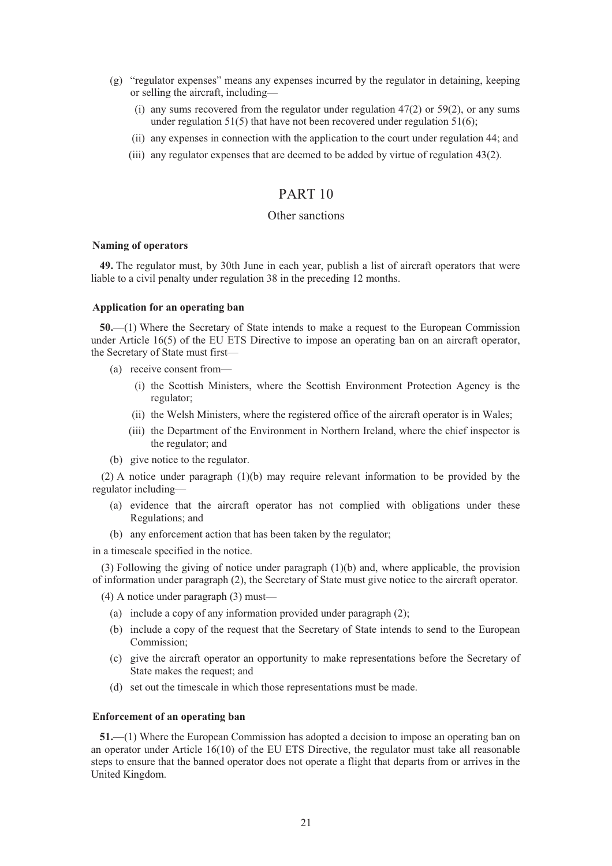- (g) "regulator expenses" means any expenses incurred by the regulator in detaining, keeping or selling the aircraft, including—
	- (i) any sums recovered from the regulator under regulation  $47(2)$  or  $59(2)$ , or any sums under regulation 51(5) that have not been recovered under regulation 51(6);
	- (ii) any expenses in connection with the application to the court under regulation 44; and
	- (iii) any regulator expenses that are deemed to be added by virtue of regulation 43(2).

# PART 10

## Other sanctions

### **Naming of operators**

**49.** The regulator must, by 30th June in each year, publish a list of aircraft operators that were liable to a civil penalty under regulation 38 in the preceding 12 months.

#### **Application for an operating ban**

**50.**—(1) Where the Secretary of State intends to make a request to the European Commission under Article 16(5) of the EU ETS Directive to impose an operating ban on an aircraft operator, the Secretary of State must first—

- (a) receive consent from—
	- (i) the Scottish Ministers, where the Scottish Environment Protection Agency is the regulator;
	- (ii) the Welsh Ministers, where the registered office of the aircraft operator is in Wales;
	- (iii) the Department of the Environment in Northern Ireland, where the chief inspector is the regulator; and
- (b) give notice to the regulator.

(2) A notice under paragraph (1)(b) may require relevant information to be provided by the regulator including—

- (a) evidence that the aircraft operator has not complied with obligations under these Regulations; and
- (b) any enforcement action that has been taken by the regulator;

in a timescale specified in the notice.

(3) Following the giving of notice under paragraph (1)(b) and, where applicable, the provision of information under paragraph (2), the Secretary of State must give notice to the aircraft operator.

(4) A notice under paragraph (3) must—

- (a) include a copy of any information provided under paragraph (2);
- (b) include a copy of the request that the Secretary of State intends to send to the European Commission;
- (c) give the aircraft operator an opportunity to make representations before the Secretary of State makes the request; and
- (d) set out the timescale in which those representations must be made.

## **Enforcement of an operating ban**

**51.**—(1) Where the European Commission has adopted a decision to impose an operating ban on an operator under Article 16(10) of the EU ETS Directive, the regulator must take all reasonable steps to ensure that the banned operator does not operate a flight that departs from or arrives in the United Kingdom.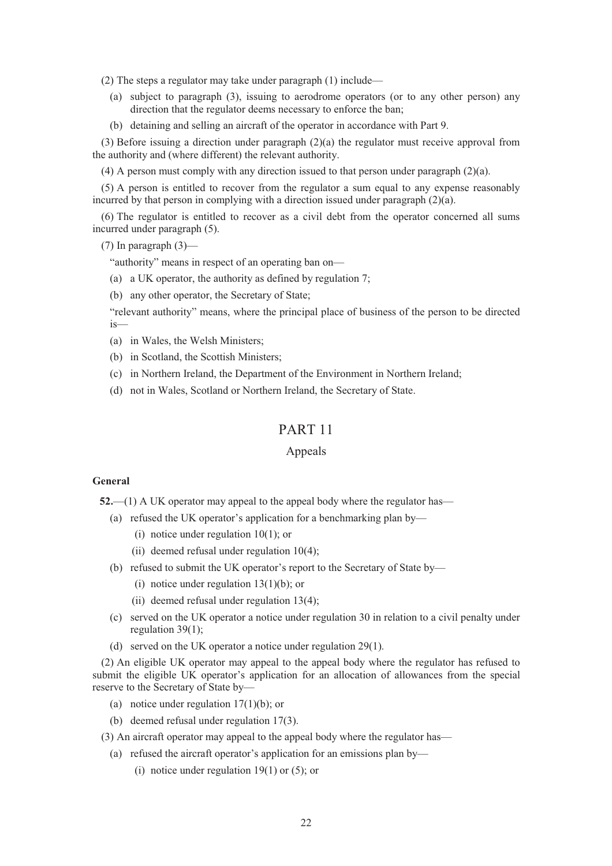(2) The steps a regulator may take under paragraph (1) include—

- (a) subject to paragraph (3), issuing to aerodrome operators (or to any other person) any direction that the regulator deems necessary to enforce the ban;
- (b) detaining and selling an aircraft of the operator in accordance with Part 9.

(3) Before issuing a direction under paragraph  $(2)(a)$  the regulator must receive approval from the authority and (where different) the relevant authority.

(4) A person must comply with any direction issued to that person under paragraph (2)(a).

(5) A person is entitled to recover from the regulator a sum equal to any expense reasonably incurred by that person in complying with a direction issued under paragraph (2)(a).

(6) The regulator is entitled to recover as a civil debt from the operator concerned all sums incurred under paragraph (5).

(7) In paragraph  $(3)$ —

"authority" means in respect of an operating ban on—

- (a) a UK operator, the authority as defined by regulation 7;
- (b) any other operator, the Secretary of State;

"relevant authority" means, where the principal place of business of the person to be directed is—

- (a) in Wales, the Welsh Ministers;
- (b) in Scotland, the Scottish Ministers;
- (c) in Northern Ireland, the Department of the Environment in Northern Ireland;
- (d) not in Wales, Scotland or Northern Ireland, the Secretary of State.

## PART 11

## Appeals

#### **General**

**52.**—(1) A UK operator may appeal to the appeal body where the regulator has—

- (a) refused the UK operator's application for a benchmarking plan by—
	- (i) notice under regulation 10(1); or
	- (ii) deemed refusal under regulation 10(4);
- (b) refused to submit the UK operator's report to the Secretary of State by—
	- (i) notice under regulation  $13(1)(b)$ ; or
	- (ii) deemed refusal under regulation 13(4);
- (c) served on the UK operator a notice under regulation 30 in relation to a civil penalty under regulation 39(1);
- (d) served on the UK operator a notice under regulation 29(1).

(2) An eligible UK operator may appeal to the appeal body where the regulator has refused to submit the eligible UK operator's application for an allocation of allowances from the special reserve to the Secretary of State by—

- (a) notice under regulation 17(1)(b); or
- (b) deemed refusal under regulation 17(3).
- (3) An aircraft operator may appeal to the appeal body where the regulator has—
	- (a) refused the aircraft operator's application for an emissions plan by—
		- (i) notice under regulation  $19(1)$  or  $(5)$ ; or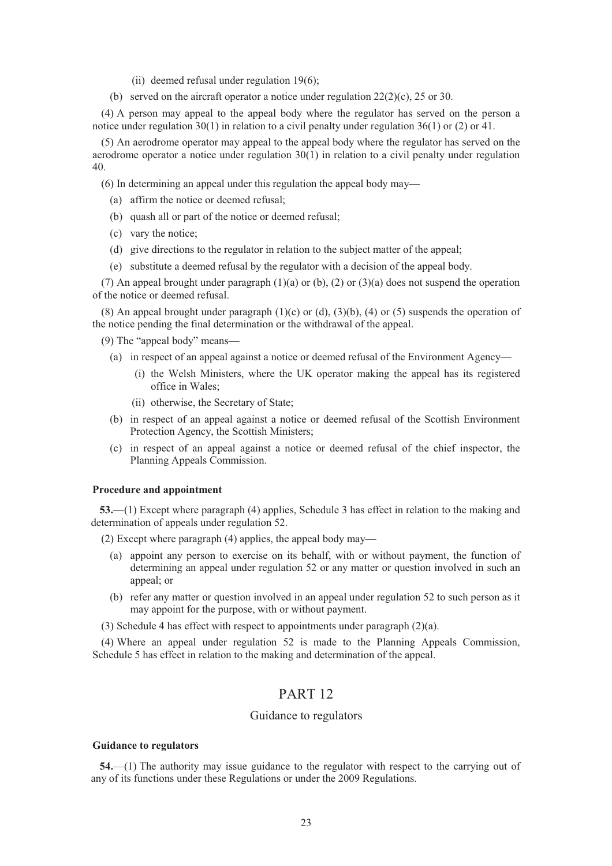- (ii) deemed refusal under regulation 19(6);
- (b) served on the aircraft operator a notice under regulation  $22(2)(c)$ ,  $25$  or 30.

(4) A person may appeal to the appeal body where the regulator has served on the person a notice under regulation 30(1) in relation to a civil penalty under regulation 36(1) or (2) or 41.

(5) An aerodrome operator may appeal to the appeal body where the regulator has served on the aerodrome operator a notice under regulation 30(1) in relation to a civil penalty under regulation 40.

(6) In determining an appeal under this regulation the appeal body may—

- (a) affirm the notice or deemed refusal;
- (b) quash all or part of the notice or deemed refusal;
- (c) vary the notice;
- (d) give directions to the regulator in relation to the subject matter of the appeal;
- (e) substitute a deemed refusal by the regulator with a decision of the appeal body.

(7) An appeal brought under paragraph (1)(a) or (b), (2) or (3)(a) does not suspend the operation of the notice or deemed refusal.

(8) An appeal brought under paragraph  $(1)(c)$  or  $(d)$ ,  $(3)(b)$ ,  $(4)$  or  $(5)$  suspends the operation of the notice pending the final determination or the withdrawal of the appeal.

(9) The "appeal body" means—

- (a) in respect of an appeal against a notice or deemed refusal of the Environment Agency—
	- (i) the Welsh Ministers, where the UK operator making the appeal has its registered office in Wales;
	- (ii) otherwise, the Secretary of State;
- (b) in respect of an appeal against a notice or deemed refusal of the Scottish Environment Protection Agency, the Scottish Ministers;
- (c) in respect of an appeal against a notice or deemed refusal of the chief inspector, the Planning Appeals Commission.

### **Procedure and appointment**

**53.**—(1) Except where paragraph (4) applies, Schedule 3 has effect in relation to the making and determination of appeals under regulation 52.

(2) Except where paragraph (4) applies, the appeal body may—

- (a) appoint any person to exercise on its behalf, with or without payment, the function of determining an appeal under regulation 52 or any matter or question involved in such an appeal; or
- (b) refer any matter or question involved in an appeal under regulation 52 to such person as it may appoint for the purpose, with or without payment.
- (3) Schedule 4 has effect with respect to appointments under paragraph (2)(a).

(4) Where an appeal under regulation 52 is made to the Planning Appeals Commission, Schedule 5 has effect in relation to the making and determination of the appeal.

# PART 12

## Guidance to regulators

#### **Guidance to regulators**

**54.**—(1) The authority may issue guidance to the regulator with respect to the carrying out of any of its functions under these Regulations or under the 2009 Regulations.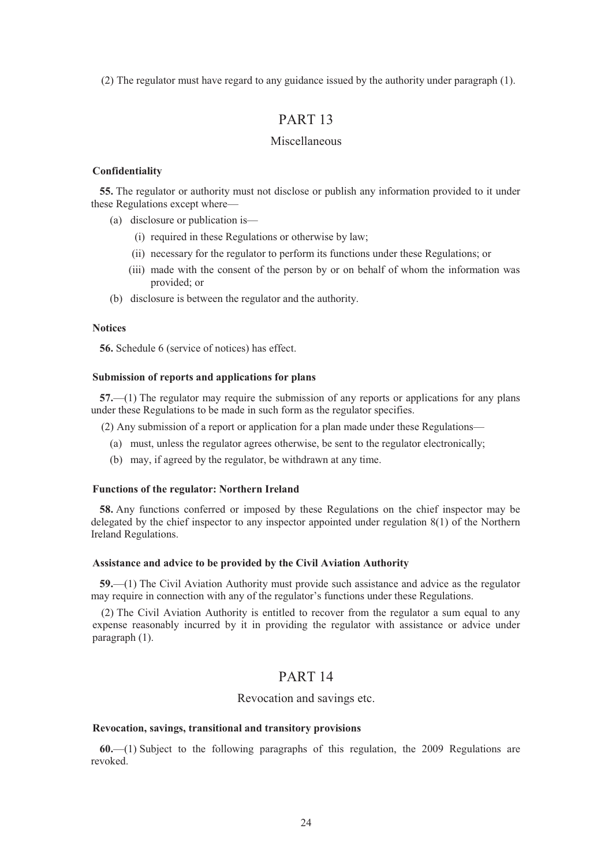(2) The regulator must have regard to any guidance issued by the authority under paragraph (1).

# PART 13

## Miscellaneous

## **Confidentiality**

**55.** The regulator or authority must not disclose or publish any information provided to it under these Regulations except where—

- (a) disclosure or publication is—
	- (i) required in these Regulations or otherwise by law;
	- (ii) necessary for the regulator to perform its functions under these Regulations; or
	- (iii) made with the consent of the person by or on behalf of whom the information was provided; or
- (b) disclosure is between the regulator and the authority.

### **Notices**

**56.** Schedule 6 (service of notices) has effect.

## **Submission of reports and applications for plans**

**57.**—(1) The regulator may require the submission of any reports or applications for any plans under these Regulations to be made in such form as the regulator specifies.

- (2) Any submission of a report or application for a plan made under these Regulations—
	- (a) must, unless the regulator agrees otherwise, be sent to the regulator electronically;
	- (b) may, if agreed by the regulator, be withdrawn at any time.

## **Functions of the regulator: Northern Ireland**

**58.** Any functions conferred or imposed by these Regulations on the chief inspector may be delegated by the chief inspector to any inspector appointed under regulation 8(1) of the Northern Ireland Regulations.

## **Assistance and advice to be provided by the Civil Aviation Authority**

**59.**—(1) The Civil Aviation Authority must provide such assistance and advice as the regulator may require in connection with any of the regulator's functions under these Regulations.

(2) The Civil Aviation Authority is entitled to recover from the regulator a sum equal to any expense reasonably incurred by it in providing the regulator with assistance or advice under paragraph (1).

## PART 14

#### Revocation and savings etc.

## **Revocation, savings, transitional and transitory provisions**

**60.**—(1) Subject to the following paragraphs of this regulation, the 2009 Regulations are revoked.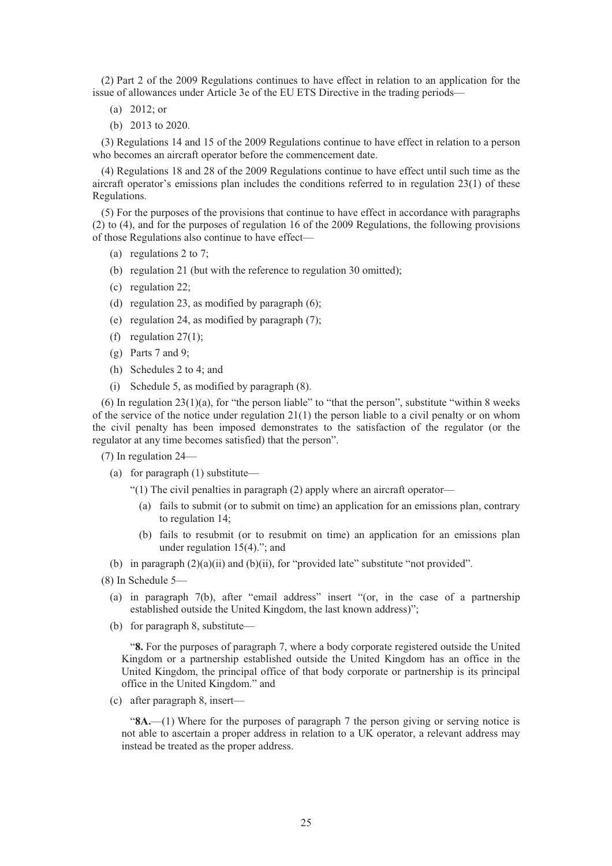(2) Part 2 of the 2009 Regulations continues to have effect in relation to an application for the issue of allowances under Article 3e of the EU ETS Directive in the trading periods—

- (a) 2012; or
- (b) 2013 to 2020.

(3) Regulations 14 and 15 of the 2009 Regulations continue to have effect in relation to a person who becomes an aircraft operator before the commencement date.

(4) Regulations 18 and 28 of the 2009 Regulations continue to have effect until such time as the aircraft operator's emissions plan includes the conditions referred to in regulation 23(1) of these Regulations.

(5) For the purposes of the provisions that continue to have effect in accordance with paragraphs (2) to (4), and for the purposes of regulation 16 of the 2009 Regulations, the following provisions of those Regulations also continue to have effect—

- (a) regulations 2 to 7;
- (b) regulation 21 (but with the reference to regulation 30 omitted);
- (c) regulation 22;
- (d) regulation 23, as modified by paragraph (6);
- (e) regulation 24, as modified by paragraph (7);
- (f) regulation  $27(1)$ ;
- (g) Parts 7 and 9;
- (h) Schedules 2 to 4; and
- (i) Schedule 5, as modified by paragraph (8).

(6) In regulation  $23(1)(a)$ , for "the person liable" to "that the person", substitute "within 8 weeks of the service of the notice under regulation  $21(1)$  the person liable to a civil penalty or on whom the civil penalty has been imposed demonstrates to the satisfaction of the regulator (or the regulator at any time becomes satisfied) that the person".

(7) In regulation 24—

(a) for paragraph (1) substitute—

"(1) The civil penalties in paragraph (2) apply where an aircraft operator—

- (a) fails to submit (or to submit on time) an application for an emissions plan, contrary to regulation 14;
- (b) fails to resubmit (or to resubmit on time) an application for an emissions plan under regulation 15(4)."; and
- (b) in paragraph  $(2)(a)(ii)$  and  $(b)(ii)$ , for "provided late" substitute "not provided".

- (a) in paragraph 7(b), after "email address" insert "(or, in the case of a partnership established outside the United Kingdom, the last known address)";
- (b) for paragraph 8, substitute—

"**8.** For the purposes of paragraph 7, where a body corporate registered outside the United Kingdom or a partnership established outside the United Kingdom has an office in the United Kingdom, the principal office of that body corporate or partnership is its principal office in the United Kingdom." and

(c) after paragraph 8, insert—

"**8A.**—(1) Where for the purposes of paragraph 7 the person giving or serving notice is not able to ascertain a proper address in relation to a UK operator, a relevant address may instead be treated as the proper address.

<sup>(8)</sup> In Schedule 5—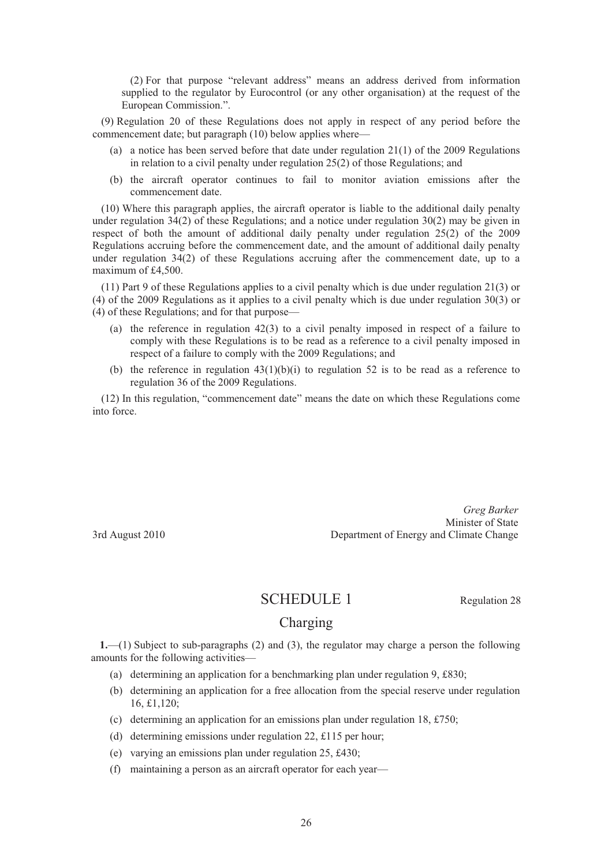(2) For that purpose "relevant address" means an address derived from information supplied to the regulator by Eurocontrol (or any other organisation) at the request of the European Commission.".

(9) Regulation 20 of these Regulations does not apply in respect of any period before the commencement date; but paragraph (10) below applies where—

- (a) a notice has been served before that date under regulation 21(1) of the 2009 Regulations in relation to a civil penalty under regulation 25(2) of those Regulations; and
- (b) the aircraft operator continues to fail to monitor aviation emissions after the commencement date.

(10) Where this paragraph applies, the aircraft operator is liable to the additional daily penalty under regulation  $34(2)$  of these Regulations; and a notice under regulation  $30(2)$  may be given in respect of both the amount of additional daily penalty under regulation 25(2) of the 2009 Regulations accruing before the commencement date, and the amount of additional daily penalty under regulation 34(2) of these Regulations accruing after the commencement date, up to a maximum of £4,500.

(11) Part 9 of these Regulations applies to a civil penalty which is due under regulation 21(3) or (4) of the 2009 Regulations as it applies to a civil penalty which is due under regulation 30(3) or (4) of these Regulations; and for that purpose—

- (a) the reference in regulation 42(3) to a civil penalty imposed in respect of a failure to comply with these Regulations is to be read as a reference to a civil penalty imposed in respect of a failure to comply with the 2009 Regulations; and
- (b) the reference in regulation  $43(1)(b)(i)$  to regulation 52 is to be read as a reference to regulation 36 of the 2009 Regulations.

(12) In this regulation, "commencement date" means the date on which these Regulations come into force.

*Greg Barker*  Minister of State 3rd August 2010 Department of Energy and Climate Change

# SCHEDULE 1 Regulation 28

# Charging

**1.**—(1) Subject to sub-paragraphs (2) and (3), the regulator may charge a person the following amounts for the following activities—

- (a) determining an application for a benchmarking plan under regulation 9, £830;
- (b) determining an application for a free allocation from the special reserve under regulation 16, £1,120;
- (c) determining an application for an emissions plan under regulation 18,  $\pounds 750$ ;
- (d) determining emissions under regulation 22, £115 per hour;
- (e) varying an emissions plan under regulation 25, £430;
- (f) maintaining a person as an aircraft operator for each year—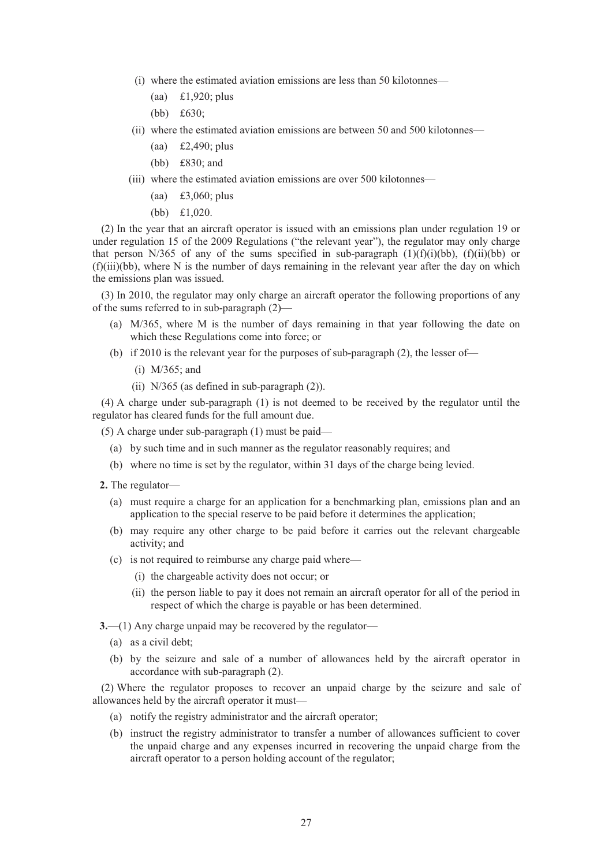- (i) where the estimated aviation emissions are less than 50 kilotonnes—
	- (aa) £1,920; plus
	- (bb) £630;
- (ii) where the estimated aviation emissions are between 50 and 500 kilotonnes—
	- (aa) £2,490; plus
	- (bb) £830; and
- (iii) where the estimated aviation emissions are over 500 kilotonnes—
	- (aa) £3,060; plus
	- (bb) £1,020.

(2) In the year that an aircraft operator is issued with an emissions plan under regulation 19 or under regulation 15 of the 2009 Regulations ("the relevant year"), the regulator may only charge that person N/365 of any of the sums specified in sub-paragraph  $(1)(f)(i)(bb)$ ,  $(f)(ii)(bb)$  or (f)(iii)(bb), where N is the number of days remaining in the relevant year after the day on which the emissions plan was issued.

(3) In 2010, the regulator may only charge an aircraft operator the following proportions of any of the sums referred to in sub-paragraph (2)—

- (a) M/365, where M is the number of days remaining in that year following the date on which these Regulations come into force; or
- (b) if 2010 is the relevant year for the purposes of sub-paragraph (2), the lesser of—
	- (i) M/365; and
	- (ii) N/365 (as defined in sub-paragraph (2)).

(4) A charge under sub-paragraph (1) is not deemed to be received by the regulator until the regulator has cleared funds for the full amount due.

(5) A charge under sub-paragraph (1) must be paid—

- (a) by such time and in such manner as the regulator reasonably requires; and
- (b) where no time is set by the regulator, within 31 days of the charge being levied.
- **2.** The regulator—
	- (a) must require a charge for an application for a benchmarking plan, emissions plan and an application to the special reserve to be paid before it determines the application;
	- (b) may require any other charge to be paid before it carries out the relevant chargeable activity; and
	- (c) is not required to reimburse any charge paid where—
		- (i) the chargeable activity does not occur; or
		- (ii) the person liable to pay it does not remain an aircraft operator for all of the period in respect of which the charge is payable or has been determined.

**3.**—(1) Any charge unpaid may be recovered by the regulator—

- (a) as a civil debt;
- (b) by the seizure and sale of a number of allowances held by the aircraft operator in accordance with sub-paragraph (2).

(2) Where the regulator proposes to recover an unpaid charge by the seizure and sale of allowances held by the aircraft operator it must—

- (a) notify the registry administrator and the aircraft operator;
- (b) instruct the registry administrator to transfer a number of allowances sufficient to cover the unpaid charge and any expenses incurred in recovering the unpaid charge from the aircraft operator to a person holding account of the regulator;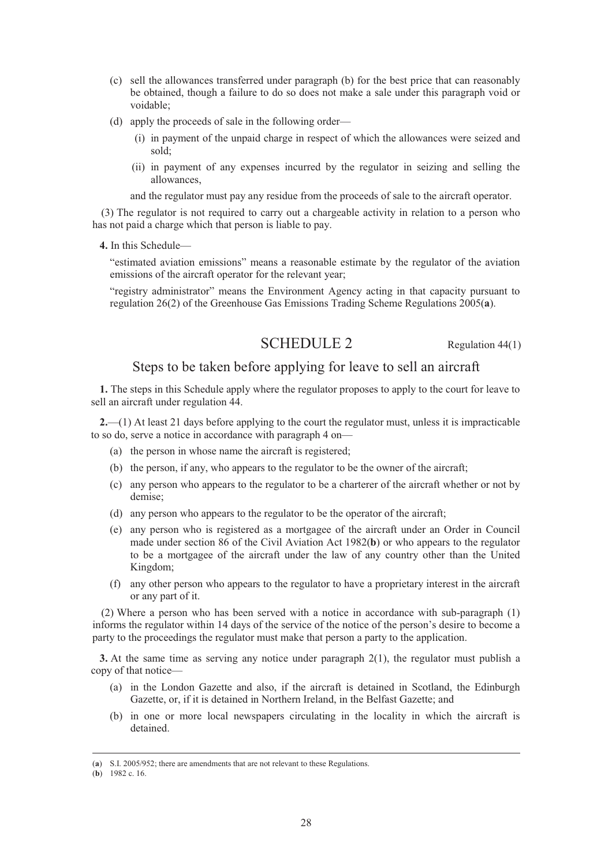- (c) sell the allowances transferred under paragraph (b) for the best price that can reasonably be obtained, though a failure to do so does not make a sale under this paragraph void or voidable;
- (d) apply the proceeds of sale in the following order—
	- (i) in payment of the unpaid charge in respect of which the allowances were seized and sold;
	- (ii) in payment of any expenses incurred by the regulator in seizing and selling the allowances,

and the regulator must pay any residue from the proceeds of sale to the aircraft operator.

(3) The regulator is not required to carry out a chargeable activity in relation to a person who has not paid a charge which that person is liable to pay.

**4.** In this Schedule—

"estimated aviation emissions" means a reasonable estimate by the regulator of the aviation emissions of the aircraft operator for the relevant year;

"registry administrator" means the Environment Agency acting in that capacity pursuant to regulation 26(2) of the Greenhouse Gas Emissions Trading Scheme Regulations 2005(**a**).

# SCHEDULE 2 Regulation 44(1)

## Steps to be taken before applying for leave to sell an aircraft

**1.** The steps in this Schedule apply where the regulator proposes to apply to the court for leave to sell an aircraft under regulation 44.

**2.**—(1) At least 21 days before applying to the court the regulator must, unless it is impracticable to so do, serve a notice in accordance with paragraph 4 on—

- (a) the person in whose name the aircraft is registered;
- (b) the person, if any, who appears to the regulator to be the owner of the aircraft;
- (c) any person who appears to the regulator to be a charterer of the aircraft whether or not by demise;
- (d) any person who appears to the regulator to be the operator of the aircraft;
- (e) any person who is registered as a mortgagee of the aircraft under an Order in Council made under section 86 of the Civil Aviation Act 1982(**b**) or who appears to the regulator to be a mortgagee of the aircraft under the law of any country other than the United Kingdom;
- (f) any other person who appears to the regulator to have a proprietary interest in the aircraft or any part of it.

(2) Where a person who has been served with a notice in accordance with sub-paragraph (1) informs the regulator within 14 days of the service of the notice of the person's desire to become a party to the proceedings the regulator must make that person a party to the application.

**3.** At the same time as serving any notice under paragraph 2(1), the regulator must publish a copy of that notice—

- (a) in the London Gazette and also, if the aircraft is detained in Scotland, the Edinburgh Gazette, or, if it is detained in Northern Ireland, in the Belfast Gazette; and
- (b) in one or more local newspapers circulating in the locality in which the aircraft is detained.

 <sup>(</sup>**a**) S.I. 2005/952; there are amendments that are not relevant to these Regulations.

<sup>(</sup>**b**) 1982 c. 16.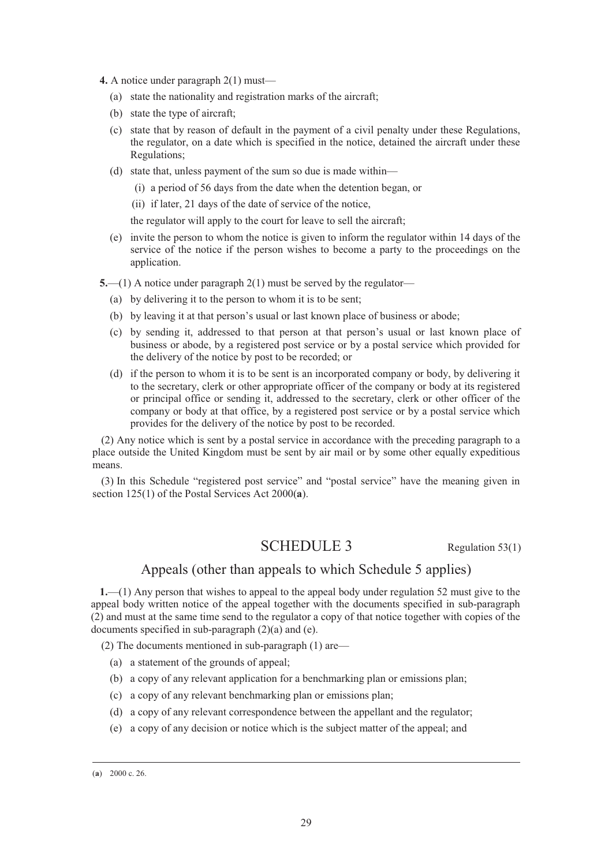- **4.** A notice under paragraph 2(1) must—
	- (a) state the nationality and registration marks of the aircraft;
	- (b) state the type of aircraft;
	- (c) state that by reason of default in the payment of a civil penalty under these Regulations, the regulator, on a date which is specified in the notice, detained the aircraft under these Regulations;
	- (d) state that, unless payment of the sum so due is made within—
		- (i) a period of 56 days from the date when the detention began, or
		- (ii) if later, 21 days of the date of service of the notice,

the regulator will apply to the court for leave to sell the aircraft;

(e) invite the person to whom the notice is given to inform the regulator within 14 days of the service of the notice if the person wishes to become a party to the proceedings on the application.

**5.**—(1) A notice under paragraph 2(1) must be served by the regulator—

- (a) by delivering it to the person to whom it is to be sent;
- (b) by leaving it at that person's usual or last known place of business or abode;
- (c) by sending it, addressed to that person at that person's usual or last known place of business or abode, by a registered post service or by a postal service which provided for the delivery of the notice by post to be recorded; or
- (d) if the person to whom it is to be sent is an incorporated company or body, by delivering it to the secretary, clerk or other appropriate officer of the company or body at its registered or principal office or sending it, addressed to the secretary, clerk or other officer of the company or body at that office, by a registered post service or by a postal service which provides for the delivery of the notice by post to be recorded.

(2) Any notice which is sent by a postal service in accordance with the preceding paragraph to a place outside the United Kingdom must be sent by air mail or by some other equally expeditious means.

(3) In this Schedule "registered post service" and "postal service" have the meaning given in section 125(1) of the Postal Services Act 2000(**a**).

# SCHEDULE 3 Regulation 53(1)

# Appeals (other than appeals to which Schedule 5 applies)

**1.**—(1) Any person that wishes to appeal to the appeal body under regulation 52 must give to the appeal body written notice of the appeal together with the documents specified in sub-paragraph (2) and must at the same time send to the regulator a copy of that notice together with copies of the documents specified in sub-paragraph (2)(a) and (e).

(2) The documents mentioned in sub-paragraph (1) are—

- (a) a statement of the grounds of appeal;
- (b) a copy of any relevant application for a benchmarking plan or emissions plan;
- (c) a copy of any relevant benchmarking plan or emissions plan;
- (d) a copy of any relevant correspondence between the appellant and the regulator;
- (e) a copy of any decision or notice which is the subject matter of the appeal; and

 <sup>(</sup>**a**) 2000 c. 26.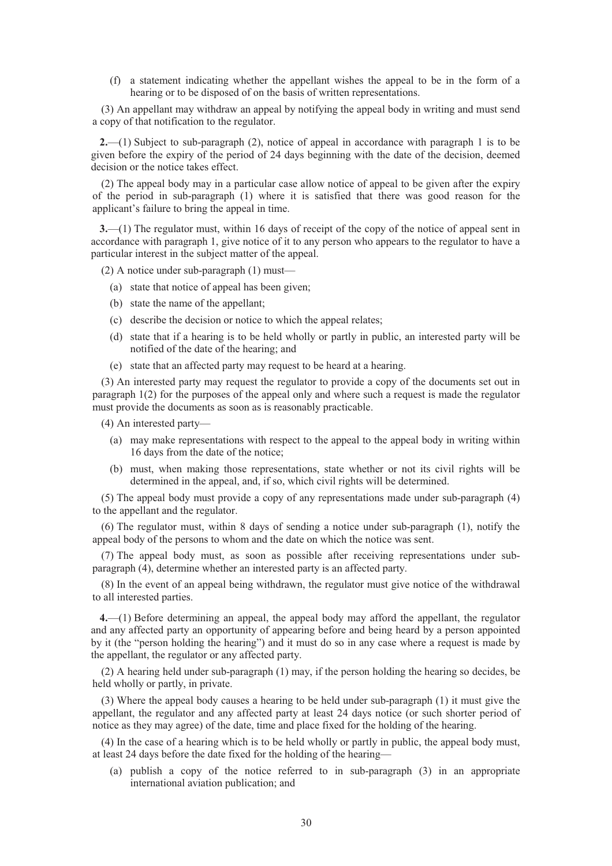(f) a statement indicating whether the appellant wishes the appeal to be in the form of a hearing or to be disposed of on the basis of written representations.

(3) An appellant may withdraw an appeal by notifying the appeal body in writing and must send a copy of that notification to the regulator.

**2.**—(1) Subject to sub-paragraph (2), notice of appeal in accordance with paragraph 1 is to be given before the expiry of the period of 24 days beginning with the date of the decision, deemed decision or the notice takes effect.

(2) The appeal body may in a particular case allow notice of appeal to be given after the expiry of the period in sub-paragraph (1) where it is satisfied that there was good reason for the applicant's failure to bring the appeal in time.

**3.**—(1) The regulator must, within 16 days of receipt of the copy of the notice of appeal sent in accordance with paragraph 1, give notice of it to any person who appears to the regulator to have a particular interest in the subject matter of the appeal.

(2) A notice under sub-paragraph (1) must—

- (a) state that notice of appeal has been given;
- (b) state the name of the appellant;
- (c) describe the decision or notice to which the appeal relates;
- (d) state that if a hearing is to be held wholly or partly in public, an interested party will be notified of the date of the hearing; and
- (e) state that an affected party may request to be heard at a hearing.

(3) An interested party may request the regulator to provide a copy of the documents set out in paragraph 1(2) for the purposes of the appeal only and where such a request is made the regulator must provide the documents as soon as is reasonably practicable.

(4) An interested party—

- (a) may make representations with respect to the appeal to the appeal body in writing within 16 days from the date of the notice;
- (b) must, when making those representations, state whether or not its civil rights will be determined in the appeal, and, if so, which civil rights will be determined.

(5) The appeal body must provide a copy of any representations made under sub-paragraph (4) to the appellant and the regulator.

(6) The regulator must, within 8 days of sending a notice under sub-paragraph (1), notify the appeal body of the persons to whom and the date on which the notice was sent.

(7) The appeal body must, as soon as possible after receiving representations under subparagraph (4), determine whether an interested party is an affected party.

(8) In the event of an appeal being withdrawn, the regulator must give notice of the withdrawal to all interested parties.

**4.**—(1) Before determining an appeal, the appeal body may afford the appellant, the regulator and any affected party an opportunity of appearing before and being heard by a person appointed by it (the "person holding the hearing") and it must do so in any case where a request is made by the appellant, the regulator or any affected party.

(2) A hearing held under sub-paragraph (1) may, if the person holding the hearing so decides, be held wholly or partly, in private.

(3) Where the appeal body causes a hearing to be held under sub-paragraph (1) it must give the appellant, the regulator and any affected party at least 24 days notice (or such shorter period of notice as they may agree) of the date, time and place fixed for the holding of the hearing.

(4) In the case of a hearing which is to be held wholly or partly in public, the appeal body must, at least 24 days before the date fixed for the holding of the hearing—

(a) publish a copy of the notice referred to in sub-paragraph (3) in an appropriate international aviation publication; and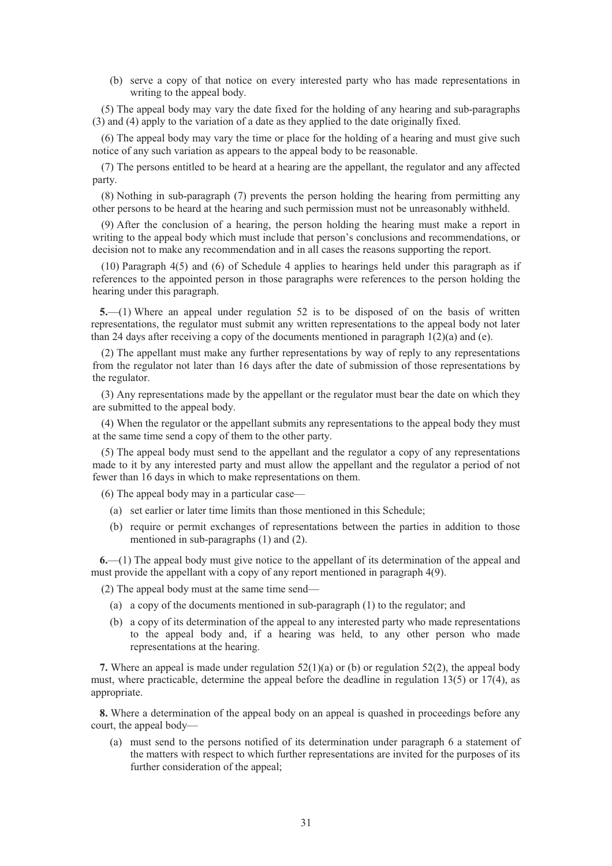(b) serve a copy of that notice on every interested party who has made representations in writing to the appeal body.

(5) The appeal body may vary the date fixed for the holding of any hearing and sub-paragraphs (3) and (4) apply to the variation of a date as they applied to the date originally fixed.

(6) The appeal body may vary the time or place for the holding of a hearing and must give such notice of any such variation as appears to the appeal body to be reasonable.

(7) The persons entitled to be heard at a hearing are the appellant, the regulator and any affected party.

(8) Nothing in sub-paragraph (7) prevents the person holding the hearing from permitting any other persons to be heard at the hearing and such permission must not be unreasonably withheld.

(9) After the conclusion of a hearing, the person holding the hearing must make a report in writing to the appeal body which must include that person's conclusions and recommendations, or decision not to make any recommendation and in all cases the reasons supporting the report.

(10) Paragraph 4(5) and (6) of Schedule 4 applies to hearings held under this paragraph as if references to the appointed person in those paragraphs were references to the person holding the hearing under this paragraph.

**5.**—(1) Where an appeal under regulation 52 is to be disposed of on the basis of written representations, the regulator must submit any written representations to the appeal body not later than 24 days after receiving a copy of the documents mentioned in paragraph  $1(2)(a)$  and (e).

(2) The appellant must make any further representations by way of reply to any representations from the regulator not later than 16 days after the date of submission of those representations by the regulator.

(3) Any representations made by the appellant or the regulator must bear the date on which they are submitted to the appeal body.

(4) When the regulator or the appellant submits any representations to the appeal body they must at the same time send a copy of them to the other party.

(5) The appeal body must send to the appellant and the regulator a copy of any representations made to it by any interested party and must allow the appellant and the regulator a period of not fewer than 16 days in which to make representations on them.

(6) The appeal body may in a particular case—

- (a) set earlier or later time limits than those mentioned in this Schedule;
- (b) require or permit exchanges of representations between the parties in addition to those mentioned in sub-paragraphs (1) and (2).

**6.**—(1) The appeal body must give notice to the appellant of its determination of the appeal and must provide the appellant with a copy of any report mentioned in paragraph 4(9).

(2) The appeal body must at the same time send—

- (a) a copy of the documents mentioned in sub-paragraph (1) to the regulator; and
- (b) a copy of its determination of the appeal to any interested party who made representations to the appeal body and, if a hearing was held, to any other person who made representations at the hearing.

**7.** Where an appeal is made under regulation 52(1)(a) or (b) or regulation 52(2), the appeal body must, where practicable, determine the appeal before the deadline in regulation  $13(5)$  or  $17(4)$ , as appropriate.

**8.** Where a determination of the appeal body on an appeal is quashed in proceedings before any court, the appeal body—

(a) must send to the persons notified of its determination under paragraph 6 a statement of the matters with respect to which further representations are invited for the purposes of its further consideration of the appeal;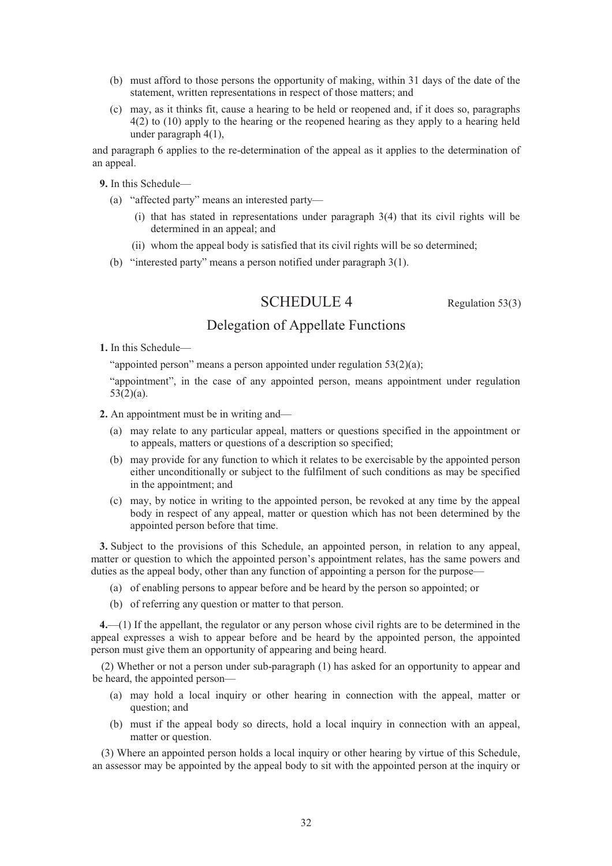- (b) must afford to those persons the opportunity of making, within 31 days of the date of the statement, written representations in respect of those matters; and
- (c) may, as it thinks fit, cause a hearing to be held or reopened and, if it does so, paragraphs 4(2) to (10) apply to the hearing or the reopened hearing as they apply to a hearing held under paragraph 4(1),

and paragraph 6 applies to the re-determination of the appeal as it applies to the determination of an appeal.

**9.** In this Schedule—

- (a) "affected party" means an interested party—
	- (i) that has stated in representations under paragraph 3(4) that its civil rights will be determined in an appeal; and
	- (ii) whom the appeal body is satisfied that its civil rights will be so determined;
- (b) "interested party" means a person notified under paragraph 3(1).

# SCHEDULE 4 Regulation 53(3)

# Delegation of Appellate Functions

**1.** In this Schedule—

"appointed person" means a person appointed under regulation 53(2)(a);

"appointment", in the case of any appointed person, means appointment under regulation 53(2)(a).

- **2.** An appointment must be in writing and—
	- (a) may relate to any particular appeal, matters or questions specified in the appointment or to appeals, matters or questions of a description so specified;
	- (b) may provide for any function to which it relates to be exercisable by the appointed person either unconditionally or subject to the fulfilment of such conditions as may be specified in the appointment; and
	- (c) may, by notice in writing to the appointed person, be revoked at any time by the appeal body in respect of any appeal, matter or question which has not been determined by the appointed person before that time.

**3.** Subject to the provisions of this Schedule, an appointed person, in relation to any appeal, matter or question to which the appointed person's appointment relates, has the same powers and duties as the appeal body, other than any function of appointing a person for the purpose—

- (a) of enabling persons to appear before and be heard by the person so appointed; or
- (b) of referring any question or matter to that person.

**4.**—(1) If the appellant, the regulator or any person whose civil rights are to be determined in the appeal expresses a wish to appear before and be heard by the appointed person, the appointed person must give them an opportunity of appearing and being heard.

(2) Whether or not a person under sub-paragraph (1) has asked for an opportunity to appear and be heard, the appointed person—

- (a) may hold a local inquiry or other hearing in connection with the appeal, matter or question; and
- (b) must if the appeal body so directs, hold a local inquiry in connection with an appeal, matter or question.

(3) Where an appointed person holds a local inquiry or other hearing by virtue of this Schedule, an assessor may be appointed by the appeal body to sit with the appointed person at the inquiry or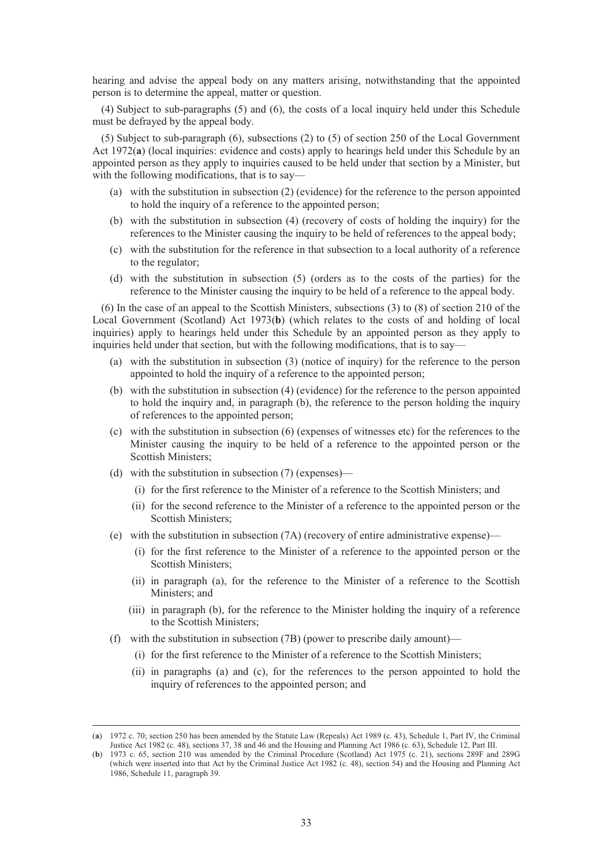hearing and advise the appeal body on any matters arising, notwithstanding that the appointed person is to determine the appeal, matter or question.

(4) Subject to sub-paragraphs (5) and (6), the costs of a local inquiry held under this Schedule must be defrayed by the appeal body.

(5) Subject to sub-paragraph (6), subsections (2) to (5) of section 250 of the Local Government Act 1972(**a**) (local inquiries: evidence and costs) apply to hearings held under this Schedule by an appointed person as they apply to inquiries caused to be held under that section by a Minister, but with the following modifications, that is to say—

- (a) with the substitution in subsection (2) (evidence) for the reference to the person appointed to hold the inquiry of a reference to the appointed person;
- (b) with the substitution in subsection (4) (recovery of costs of holding the inquiry) for the references to the Minister causing the inquiry to be held of references to the appeal body;
- (c) with the substitution for the reference in that subsection to a local authority of a reference to the regulator;
- (d) with the substitution in subsection (5) (orders as to the costs of the parties) for the reference to the Minister causing the inquiry to be held of a reference to the appeal body.

(6) In the case of an appeal to the Scottish Ministers, subsections (3) to (8) of section 210 of the Local Government (Scotland) Act 1973(**b**) (which relates to the costs of and holding of local inquiries) apply to hearings held under this Schedule by an appointed person as they apply to inquiries held under that section, but with the following modifications, that is to say—

- (a) with the substitution in subsection (3) (notice of inquiry) for the reference to the person appointed to hold the inquiry of a reference to the appointed person;
- (b) with the substitution in subsection (4) (evidence) for the reference to the person appointed to hold the inquiry and, in paragraph (b), the reference to the person holding the inquiry of references to the appointed person;
- (c) with the substitution in subsection (6) (expenses of witnesses etc) for the references to the Minister causing the inquiry to be held of a reference to the appointed person or the Scottish Ministers;
- (d) with the substitution in subsection (7) (expenses)—
	- (i) for the first reference to the Minister of a reference to the Scottish Ministers; and
	- (ii) for the second reference to the Minister of a reference to the appointed person or the Scottish Ministers;
- (e) with the substitution in subsection (7A) (recovery of entire administrative expense)—
	- (i) for the first reference to the Minister of a reference to the appointed person or the Scottish Ministers;
	- (ii) in paragraph (a), for the reference to the Minister of a reference to the Scottish Ministers; and
	- (iii) in paragraph (b), for the reference to the Minister holding the inquiry of a reference to the Scottish Ministers;
- (f) with the substitution in subsection (7B) (power to prescribe daily amount)—
	- (i) for the first reference to the Minister of a reference to the Scottish Ministers;
	- (ii) in paragraphs (a) and (c), for the references to the person appointed to hold the inquiry of references to the appointed person; and

 <sup>(</sup>**a**) 1972 c. 70; section 250 has been amended by the Statute Law (Repeals) Act 1989 (c. 43), Schedule 1, Part IV, the Criminal Justice Act 1982 (c. 48), sections 37, 38 and 46 and the Housing and Planning Act 1986 (c. 63), Schedule 12, Part III.

<sup>(</sup>**b**) 1973 c. 65, section 210 was amended by the Criminal Procedure (Scotland) Act 1975 (c. 21), sections 289F and 289G (which were inserted into that Act by the Criminal Justice Act 1982 (c. 48), section 54) and the Housing and Planning Act 1986, Schedule 11, paragraph 39.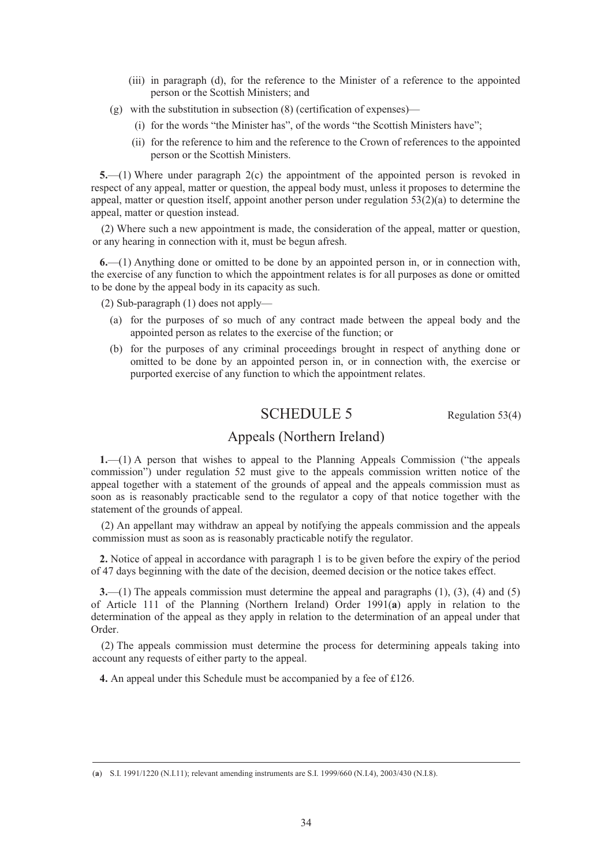- (iii) in paragraph (d), for the reference to the Minister of a reference to the appointed person or the Scottish Ministers; and
- (g) with the substitution in subsection (8) (certification of expenses)—
	- (i) for the words "the Minister has", of the words "the Scottish Ministers have";
	- (ii) for the reference to him and the reference to the Crown of references to the appointed person or the Scottish Ministers.

**5.**—(1) Where under paragraph 2(c) the appointment of the appointed person is revoked in respect of any appeal, matter or question, the appeal body must, unless it proposes to determine the appeal, matter or question itself, appoint another person under regulation 53(2)(a) to determine the appeal, matter or question instead.

(2) Where such a new appointment is made, the consideration of the appeal, matter or question, or any hearing in connection with it, must be begun afresh.

**6.**—(1) Anything done or omitted to be done by an appointed person in, or in connection with, the exercise of any function to which the appointment relates is for all purposes as done or omitted to be done by the appeal body in its capacity as such.

(2) Sub-paragraph (1) does not apply—

- (a) for the purposes of so much of any contract made between the appeal body and the appointed person as relates to the exercise of the function; or
- (b) for the purposes of any criminal proceedings brought in respect of anything done or omitted to be done by an appointed person in, or in connection with, the exercise or purported exercise of any function to which the appointment relates.

# SCHEDULE 5 Regulation 53(4)

# Appeals (Northern Ireland)

**1.**—(1) A person that wishes to appeal to the Planning Appeals Commission ("the appeals commission") under regulation 52 must give to the appeals commission written notice of the appeal together with a statement of the grounds of appeal and the appeals commission must as soon as is reasonably practicable send to the regulator a copy of that notice together with the statement of the grounds of appeal.

(2) An appellant may withdraw an appeal by notifying the appeals commission and the appeals commission must as soon as is reasonably practicable notify the regulator.

**2.** Notice of appeal in accordance with paragraph 1 is to be given before the expiry of the period of 47 days beginning with the date of the decision, deemed decision or the notice takes effect.

**3.**—(1) The appeals commission must determine the appeal and paragraphs (1), (3), (4) and (5) of Article 111 of the Planning (Northern Ireland) Order 1991(**a**) apply in relation to the determination of the appeal as they apply in relation to the determination of an appeal under that Order.

(2) The appeals commission must determine the process for determining appeals taking into account any requests of either party to the appeal.

**4.** An appeal under this Schedule must be accompanied by a fee of £126.

 <sup>(</sup>**a**) S.I. 1991/1220 (N.I.11); relevant amending instruments are S.I. 1999/660 (N.I.4), 2003/430 (N.I.8).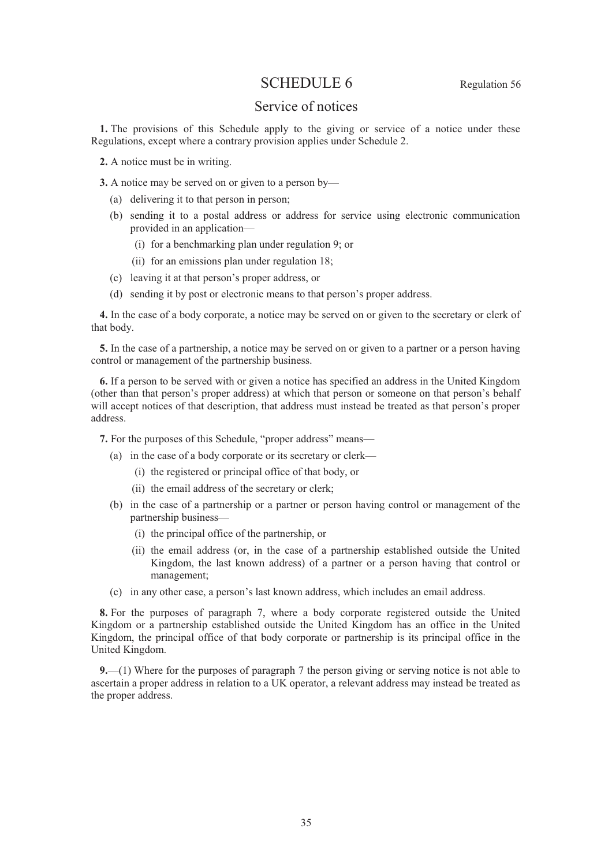# SCHEDULE 6 Regulation 56

## Service of notices

**1.** The provisions of this Schedule apply to the giving or service of a notice under these Regulations, except where a contrary provision applies under Schedule 2.

**2.** A notice must be in writing.

**3.** A notice may be served on or given to a person by—

- (a) delivering it to that person in person;
- (b) sending it to a postal address or address for service using electronic communication provided in an application—
	- (i) for a benchmarking plan under regulation 9; or
	- (ii) for an emissions plan under regulation 18;
- (c) leaving it at that person's proper address, or
- (d) sending it by post or electronic means to that person's proper address.

**4.** In the case of a body corporate, a notice may be served on or given to the secretary or clerk of that body.

**5.** In the case of a partnership, a notice may be served on or given to a partner or a person having control or management of the partnership business.

**6.** If a person to be served with or given a notice has specified an address in the United Kingdom (other than that person's proper address) at which that person or someone on that person's behalf will accept notices of that description, that address must instead be treated as that person's proper address.

**7.** For the purposes of this Schedule, "proper address" means—

- (a) in the case of a body corporate or its secretary or clerk—
	- (i) the registered or principal office of that body, or
	- (ii) the email address of the secretary or clerk;
- (b) in the case of a partnership or a partner or person having control or management of the partnership business-
	- (i) the principal office of the partnership, or
	- (ii) the email address (or, in the case of a partnership established outside the United Kingdom, the last known address) of a partner or a person having that control or management;
- (c) in any other case, a person's last known address, which includes an email address.

**8.** For the purposes of paragraph 7, where a body corporate registered outside the United Kingdom or a partnership established outside the United Kingdom has an office in the United Kingdom, the principal office of that body corporate or partnership is its principal office in the United Kingdom.

**9.**—(1) Where for the purposes of paragraph 7 the person giving or serving notice is not able to ascertain a proper address in relation to a UK operator, a relevant address may instead be treated as the proper address.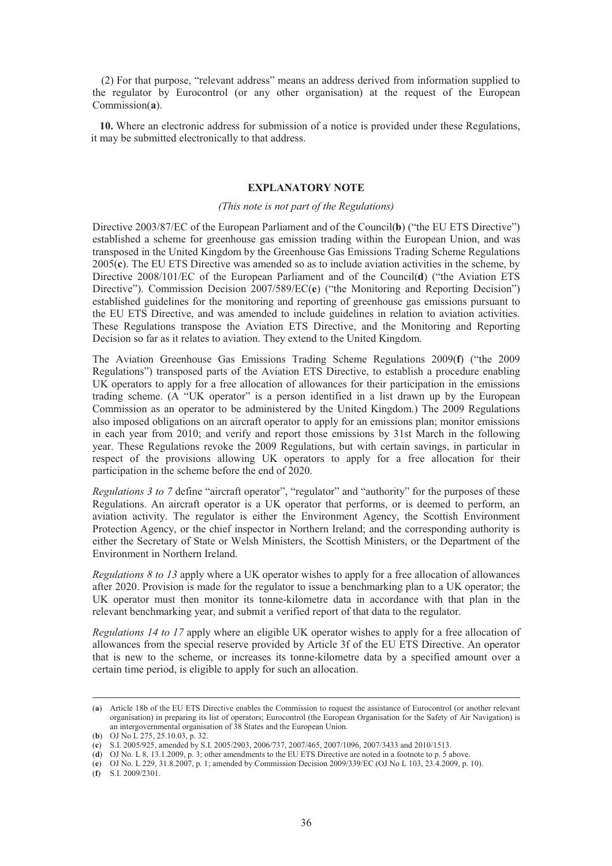(2) For that purpose, "relevant address" means an address derived from information supplied to the regulator by Eurocontrol (or any other organisation) at the request of the European Commission(**a**).

**10.** Where an electronic address for submission of a notice is provided under these Regulations, it may be submitted electronically to that address.

## **EXPLANATORY NOTE**

#### *(This note is not part of the Regulations)*

Directive 2003/87/EC of the European Parliament and of the Council(**b**) ("the EU ETS Directive") established a scheme for greenhouse gas emission trading within the European Union, and was transposed in the United Kingdom by the Greenhouse Gas Emissions Trading Scheme Regulations 2005(**c**). The EU ETS Directive was amended so as to include aviation activities in the scheme, by Directive 2008/101/EC of the European Parliament and of the Council(**d**) ("the Aviation ETS Directive"). Commission Decision 2007/589/EC(**e**) ("the Monitoring and Reporting Decision") established guidelines for the monitoring and reporting of greenhouse gas emissions pursuant to the EU ETS Directive, and was amended to include guidelines in relation to aviation activities. These Regulations transpose the Aviation ETS Directive, and the Monitoring and Reporting Decision so far as it relates to aviation. They extend to the United Kingdom.

The Aviation Greenhouse Gas Emissions Trading Scheme Regulations 2009(**f**) ("the 2009 Regulations") transposed parts of the Aviation ETS Directive, to establish a procedure enabling UK operators to apply for a free allocation of allowances for their participation in the emissions trading scheme. (A "UK operator" is a person identified in a list drawn up by the European Commission as an operator to be administered by the United Kingdom.) The 2009 Regulations also imposed obligations on an aircraft operator to apply for an emissions plan; monitor emissions in each year from 2010; and verify and report those emissions by 31st March in the following year. These Regulations revoke the 2009 Regulations, but with certain savings, in particular in respect of the provisions allowing UK operators to apply for a free allocation for their participation in the scheme before the end of 2020.

*Regulations 3 to 7* define "aircraft operator", "regulator" and "authority" for the purposes of these Regulations. An aircraft operator is a UK operator that performs, or is deemed to perform, an aviation activity. The regulator is either the Environment Agency, the Scottish Environment Protection Agency, or the chief inspector in Northern Ireland; and the corresponding authority is either the Secretary of State or Welsh Ministers, the Scottish Ministers, or the Department of the Environment in Northern Ireland.

*Regulations 8 to 13* apply where a UK operator wishes to apply for a free allocation of allowances after 2020. Provision is made for the regulator to issue a benchmarking plan to a UK operator; the UK operator must then monitor its tonne-kilometre data in accordance with that plan in the relevant benchmarking year, and submit a verified report of that data to the regulator.

*Regulations 14 to 17* apply where an eligible UK operator wishes to apply for a free allocation of allowances from the special reserve provided by Article 3f of the EU ETS Directive. An operator that is new to the scheme, or increases its tonne-kilometre data by a specified amount over a certain time period, is eligible to apply for such an allocation.

 <sup>(</sup>**a**) Article 18b of the EU ETS Directive enables the Commission to request the assistance of Eurocontrol (or another relevant organisation) in preparing its list of operators; Eurocontrol (the European Organisation for the Safety of Air Navigation) is an intergovernmental organisation of 38 States and the European Union.

<sup>(</sup>**b**) OJ No L 275, 25.10.03, p. 32.

<sup>(</sup>**c**) S.I. 2005/925, amended by S.I. 2005/2903, 2006/737, 2007/465, 2007/1096, 2007/3433 and 2010/1513.

<sup>(</sup>**d**) OJ No. L 8, 13.1.2009, p. 3; other amendments to the EU ETS Directive are noted in a footnote to p. 5 above.

<sup>(</sup>**e**) OJ No. L 229, 31.8.2007, p. 1; amended by Commission Decision 2009/339/EC (OJ No L 103, 23.4.2009, p. 10).

<sup>(</sup>**f**) S.I. 2009/2301.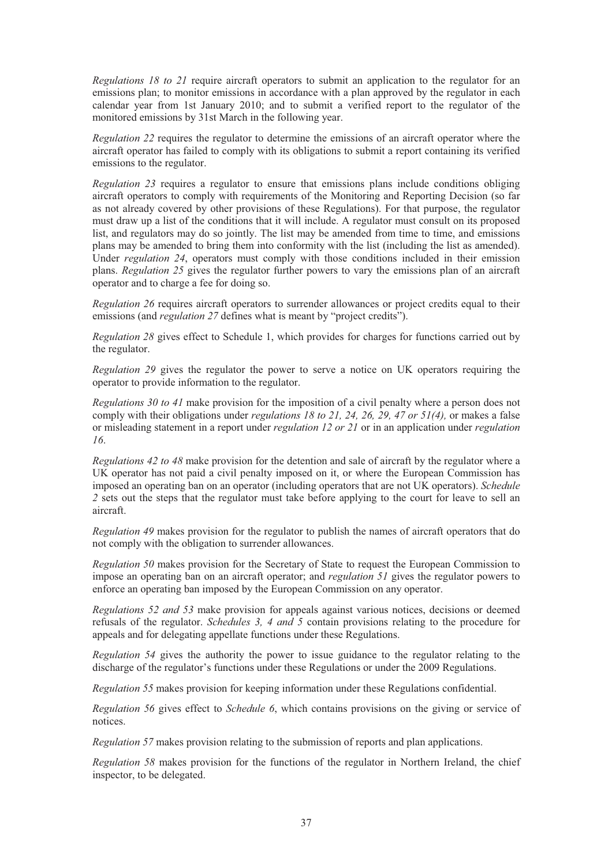*Regulations 18 to 21* require aircraft operators to submit an application to the regulator for an emissions plan; to monitor emissions in accordance with a plan approved by the regulator in each calendar year from 1st January 2010; and to submit a verified report to the regulator of the monitored emissions by 31st March in the following year.

*Regulation 22* requires the regulator to determine the emissions of an aircraft operator where the aircraft operator has failed to comply with its obligations to submit a report containing its verified emissions to the regulator.

*Regulation 23* requires a regulator to ensure that emissions plans include conditions obliging aircraft operators to comply with requirements of the Monitoring and Reporting Decision (so far as not already covered by other provisions of these Regulations). For that purpose, the regulator must draw up a list of the conditions that it will include. A regulator must consult on its proposed list, and regulators may do so jointly. The list may be amended from time to time, and emissions plans may be amended to bring them into conformity with the list (including the list as amended). Under *regulation 24*, operators must comply with those conditions included in their emission plans. *Regulation 25* gives the regulator further powers to vary the emissions plan of an aircraft operator and to charge a fee for doing so.

*Regulation 26* requires aircraft operators to surrender allowances or project credits equal to their emissions (and *regulation 27* defines what is meant by "project credits").

*Regulation 28* gives effect to Schedule 1, which provides for charges for functions carried out by the regulator.

*Regulation 29* gives the regulator the power to serve a notice on UK operators requiring the operator to provide information to the regulator.

*Regulations 30 to 41* make provision for the imposition of a civil penalty where a person does not comply with their obligations under *regulations 18 to 21, 24, 26, 29, 47 or 51(4),* or makes a false or misleading statement in a report under *regulation 12 or 21* or in an application under *regulation 16*.

*Regulations 42 to 48* make provision for the detention and sale of aircraft by the regulator where a UK operator has not paid a civil penalty imposed on it, or where the European Commission has imposed an operating ban on an operator (including operators that are not UK operators). *Schedule 2* sets out the steps that the regulator must take before applying to the court for leave to sell an aircraft.

*Regulation 49* makes provision for the regulator to publish the names of aircraft operators that do not comply with the obligation to surrender allowances.

*Regulation 50* makes provision for the Secretary of State to request the European Commission to impose an operating ban on an aircraft operator; and *regulation 51* gives the regulator powers to enforce an operating ban imposed by the European Commission on any operator.

*Regulations 52 and 53* make provision for appeals against various notices, decisions or deemed refusals of the regulator. *Schedules 3, 4 and 5* contain provisions relating to the procedure for appeals and for delegating appellate functions under these Regulations.

*Regulation 54* gives the authority the power to issue guidance to the regulator relating to the discharge of the regulator's functions under these Regulations or under the 2009 Regulations.

*Regulation 55* makes provision for keeping information under these Regulations confidential.

*Regulation 56* gives effect to *Schedule 6*, which contains provisions on the giving or service of notices.

*Regulation 57* makes provision relating to the submission of reports and plan applications.

*Regulation 58* makes provision for the functions of the regulator in Northern Ireland, the chief inspector, to be delegated.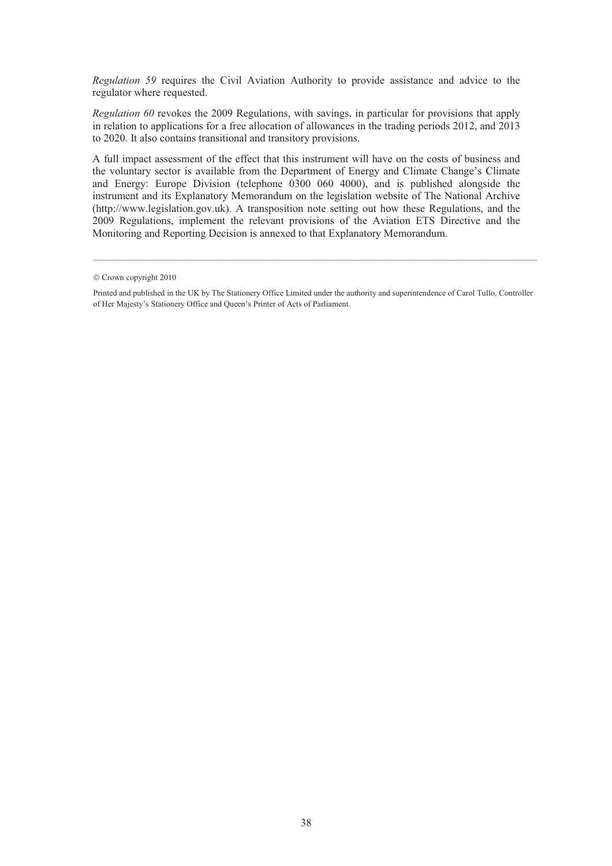*Regulation 59* requires the Civil Aviation Authority to provide assistance and advice to the regulator where requested.

*Regulation 60* revokes the 2009 Regulations, with savings, in particular for provisions that apply in relation to applications for a free allocation of allowances in the trading periods 2012, and 2013 to 2020. It also contains transitional and transitory provisions.

A full impact assessment of the effect that this instrument will have on the costs of business and the voluntary sector is available from the Department of Energy and Climate Change's Climate and Energy: Europe Division (telephone 0300 060 4000), and is published alongside the instrument and its Explanatory Memorandum on the legislation website of The National Archive (http://www.legislation.gov.uk). A transposition note setting out how these Regulations, and the 2009 Regulations, implement the relevant provisions of the Aviation ETS Directive and the Monitoring and Reporting Decision is annexed to that Explanatory Memorandum.

 $©$  Crown copyright 2010

Printed and published in the UK by The Stationery Office Limited under the authority and superintendence of Carol Tullo, Controller of Her Majesty's Stationery Office and Queen's Printer of Acts of Parliament.